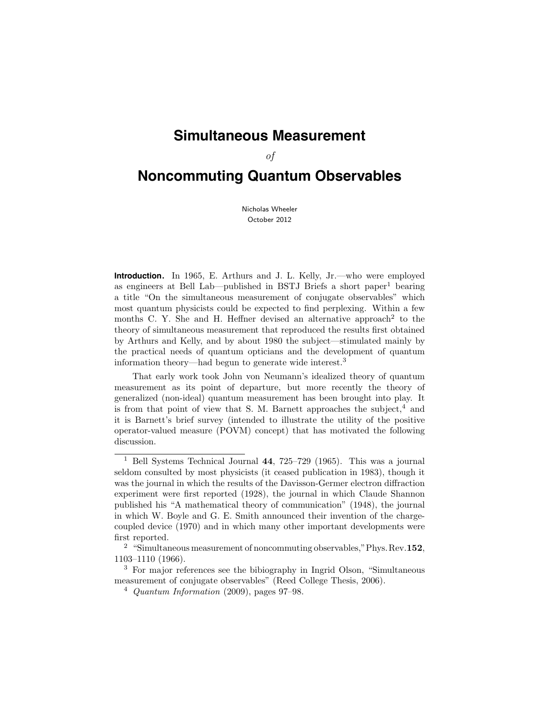# **Simultaneous Measurement**

of

# **Noncommuting Quantum Observables**

Nicholas Wheeler October 2012

**Introduction.** In 1965, E. Arthurs and J. L. Kelly, Jr.—who were employed as engineers at Bell Lab—published in BSTJ Briefs a short paper<sup>1</sup> bearing a title "On the simultaneous measurement of conjugate observables" which most quantum physicists could be expected to find perplexing. Within a few months C. Y. She and H. Heffner devised an alternative approach<sup>2</sup> to the theory of simultaneous measurement that reproduced the results first obtained by Arthurs and Kelly, and by about 1980 the subject—stimulated mainly by the practical needs of quantum opticians and the development of quantum information theory—had begun to generate wide interest.<sup>3</sup>

That early work took John von Neumann's idealized theory of quantum measurement as its point of departure, but more recently the theory of generalized (non-ideal) quantum measurement has been brought into play. It is from that point of view that S. M. Barnett approaches the subject, $4$  and it is Barnett's brief survey (intended to illustrate the utility of the positive operator-valued measure (POVM) concept) that has motivated the following discussion.

<sup>1</sup> Bell Systems Technical Journal 44, 725–729 (1965). This was a journal seldom consulted by most physicists (it ceased publication in 1983), though it was the journal in which the results of the Davisson-Germer electron diffraction experiment were first reported (1928), the journal in which Claude Shannon published his "A mathematical theory of communication" (1948), the journal in which W. Boyle and G. E. Smith announced their invention of the chargecoupled device (1970) and in which many other important developments were first reported.

<sup>&</sup>lt;sup>2</sup> "Simultaneous measurement of noncommuting observables," Phys. Rev.  $152$ , 1103–1110 (1966).

<sup>3</sup> For major references see the bibiography in Ingrid Olson, "Simultaneous measurement of conjugate observables" (Reed College Thesis, 2006).

 $4$  Quantum Information (2009), pages 97–98.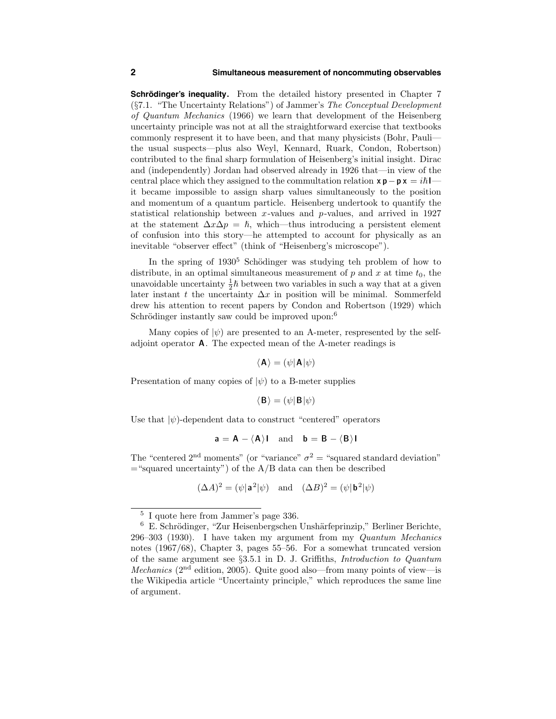**Schrödinger's inequality.** From the detailed history presented in Chapter 7 (§7.1. "The Uncertainty Relations") of Jammer's The Conceptual Development of Quantum Mechanics (1966) we learn that development of the Heisenberg uncertainty principle was not at all the straightforward exercise that textbooks commonly respresent it to have been, and that many physicists (Bohr, Pauli the usual suspects—plus also Weyl, Kennard, Ruark, Condon, Robertson) contributed to the final sharp formulation of Heisenberg's initial insight. Dirac and (independently) Jordan had observed already in 1926 that—in view of the central place which they assigned to the commultation relation  $x p - p x = i\hbar$ it became impossible to assign sharp values simultaneously to the position and momentum of a quantum particle. Heisenberg undertook to quantify the statistical relationship between x-values and  $p$ -values, and arrived in 1927 at the statement  $\Delta x \Delta p = \hbar$ , which—thus introducing a persistent element of confusion into this story—he attempted to account for physically as an inevitable "observer effect" (think of "Heisenberg's microscope").

In the spring of  $1930^5$  Schödinger was studying teh problem of how to distribute, in an optimal simultaneous measurement of  $p$  and  $x$  at time  $t_0$ , the unavoidable uncertainty  $\frac{1}{2}\hbar$  between two variables in such a way that at a given later instant t the uncertainty  $\Delta x$  in position will be minimal. Sommerfeld drew his attention to recent papers by Condon and Robertson (1929) which Schrödinger instantly saw could be improved upon: $6$ 

Many copies of  $|\psi\rangle$  are presented to an A-meter, respresented by the selfadjoint operator A. The expected mean of the A-meter readings is

$$
\langle \mathbf{A} \rangle = (\psi | \mathbf{A} | \psi)
$$

Presentation of many copies of  $|\psi\rangle$  to a B-meter supplies

$$
\langle \mathbf{B} \rangle = (\psi | \mathbf{B} | \psi)
$$

Use that  $|\psi\rangle$ -dependent data to construct "centered" operators

$$
\mathbf{a} = \mathbf{A} - \langle \mathbf{A} \rangle \mathbf{I} \quad \text{and} \quad \mathbf{b} = \mathbf{B} - \langle \mathbf{B} \rangle \mathbf{I}
$$

The "centered 2<sup>nd</sup> moments" (or "variance"  $\sigma^2$  = "squared standard deviation"  $=$ "squared uncertainty") of the A/B data can then be described

$$
(\Delta A)^2 = (\psi | \mathbf{a}^2 | \psi) \quad \text{and} \quad (\Delta B)^2 = (\psi | \mathbf{b}^2 | \psi)
$$

<sup>5</sup> I quote here from Jammer's page 336.

 $^6\,$ E. Schrödinger, "Zur Heisenbergschen Unshärfeprinzip," Berliner Berichte, 296–303 (1930). I have taken my argument from my Quantum Mechanics notes (1967/68), Chapter 3, pages 55–56. For a somewhat truncated version of the same argument see §3.5.1 in D. J. Griffiths, Introduction to Quantum Mechanics ( $2<sup>nd</sup>$  edition, 2005). Quite good also—from many points of view—is the Wikipedia article "Uncertainty principle," which reproduces the same line of argument.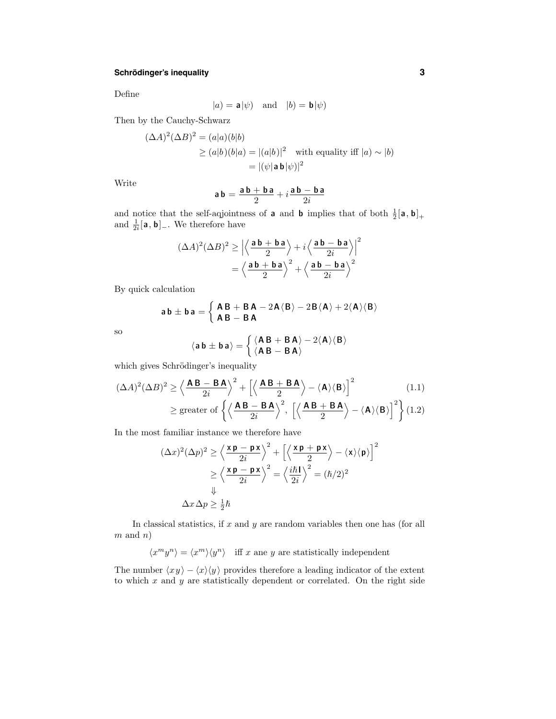# **Schrödinger's inequality 3**

Define

$$
|a| = \mathbf{a}|\psi|
$$
 and  $|b| = \mathbf{b}|\psi|$ 

Then by the Cauchy-Schwarz

$$
(\Delta A)^2 (\Delta B)^2 = (a|a)(b|b)
$$
  
\n
$$
\ge (a|b)(b|a) = |(a|b)|^2 \quad \text{with equality iff } |a| \sim |b|
$$
  
\n
$$
= |(\psi| \mathbf{a} \mathbf{b} |\psi)|^2
$$

Write

$$
\mathbf{a}\,\mathbf{b}=\frac{\mathbf{a}\,\mathbf{b}+\mathbf{b}\,\mathbf{a}}{2}+i\frac{\mathbf{a}\,\mathbf{b}-\mathbf{b}\,\mathbf{a}}{2i}
$$

and notice that the self-aqjointness of **a** and **b** implies that of both  $\frac{1}{2}[\mathbf{a}, \mathbf{b}]_+$ and  $\frac{1}{2i}[\mathbf{a}, \mathbf{b}]_-.$  We therefore have

$$
(\Delta A)^2 (\Delta B)^2 \ge \left| \left\langle \frac{\mathbf{a} \mathbf{b} + \mathbf{b} \mathbf{a}}{2} \right\rangle + i \left\langle \frac{\mathbf{a} \mathbf{b} - \mathbf{b} \mathbf{a}}{2i} \right\rangle \right|^2
$$

$$
= \left\langle \frac{\mathbf{a} \mathbf{b} + \mathbf{b} \mathbf{a}}{2} \right\rangle^2 + \left\langle \frac{\mathbf{a} \mathbf{b} - \mathbf{b} \mathbf{a}}{2i} \right\rangle^2
$$

By quick calculation

$$
a\,b\pm b\,a = \left\{\begin{array}{l} \textsf{A}\,\textsf{B}\,+\,\textsf{B}\,\textsf{A}\,-2\textsf{A}\langle\textsf{B}\rangle-2\textsf{B}\langle\textsf{A}\rangle +2\langle\textsf{A}\rangle\langle\textsf{B}\rangle\\ \textsf{A}\,\textsf{B}-\,\textsf{B}\,\textsf{A} \end{array}\right.
$$

so

$$
\langle a\,b\pm b\,a\rangle = \left\{\frac{\langle A\,B\,+\,B\,A\rangle-2\langle A\rangle\langle B\rangle}{\langle A\,B\,-\,B\,A\rangle}\right.
$$

which gives Schrödinger's inequality

$$
(\Delta A)^2 (\Delta B)^2 \ge \left\langle \frac{\mathbf{AB} - \mathbf{BA}}{2i} \right\rangle^2 + \left[ \left\langle \frac{\mathbf{AB} + \mathbf{BA}}{2} \right\rangle - \langle \mathbf{A} \rangle \langle \mathbf{B} \rangle \right]^2 \tag{1.1}
$$
  
 
$$
\ge \text{greater of } \left\{ \left\langle \frac{\mathbf{AB} - \mathbf{BA}}{2i} \right\rangle^2, \left[ \left\langle \frac{\mathbf{AB} + \mathbf{BA}}{2} \right\rangle - \langle \mathbf{A} \rangle \langle \mathbf{B} \rangle \right]^2 \right\} (1.2)
$$

In the most familiar instance we therefore have

$$
(\Delta x)^2 (\Delta p)^2 \ge \left\langle \frac{\mathbf{x} \mathbf{p} - \mathbf{p} \mathbf{x}}{2i} \right\rangle^2 + \left[ \left\langle \frac{\mathbf{x} \mathbf{p} + \mathbf{p} \mathbf{x}}{2} \right\rangle - \langle \mathbf{x} \rangle \langle \mathbf{p} \rangle \right]^2
$$

$$
\ge \left\langle \frac{\mathbf{x} \mathbf{p} - \mathbf{p} \mathbf{x}}{2i} \right\rangle^2 = \left\langle \frac{i\hbar \mathbf{l}}{2i} \right\rangle^2 = (\hbar/2)^2
$$

$$
\downarrow
$$

$$
\Delta x \Delta p \ge \frac{1}{2} \hbar
$$

In classical statistics, if  $x$  and  $y$  are random variables then one has (for all  $m$  and  $n$ )

 $\langle x^my^n\rangle = \langle x^m\rangle\langle y^n\rangle$  iff  $x$  ane  $y$  are statistically independent

The number  $\langle xy \rangle - \langle x \rangle \langle y \rangle$  provides therefore a leading indicator of the extent to which  $x$  and  $y$  are statistically dependent or correlated. On the right side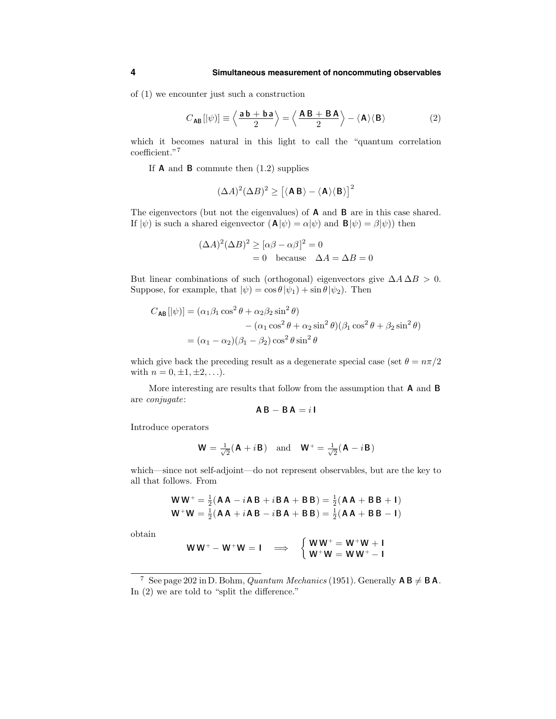of (1) we encounter just such a construction

$$
C_{AB}[|\psi\rangle] \equiv \left\langle \frac{\mathbf{a}\,\mathbf{b} + \mathbf{b}\,\mathbf{a}}{2} \right\rangle = \left\langle \frac{\mathbf{A}\,\mathbf{B} + \mathbf{B}\,\mathbf{A}}{2} \right\rangle - \left\langle \mathbf{A} \right\rangle \left\langle \mathbf{B} \right\rangle \tag{2}
$$

which it becomes natural in this light to call the "quantum correlation coefficient."<sup>7</sup>

If  $\bf{A}$  and  $\bf{B}$  commute then  $(1.2)$  supplies

$$
(\Delta A)^2 (\Delta B)^2 \ge \left[ \langle \mathbf{A} \, \mathbf{B} \rangle - \langle \mathbf{A} \rangle \langle \mathbf{B} \rangle \right]^2
$$

The eigenvectors (but not the eigenvalues) of A and B are in this case shared. If  $|\psi\rangle$  is such a shared eigenvector  $(\mathbf{A}|\psi) = \alpha|\psi\rangle$  and  $\mathbf{B}|\psi\rangle = \beta|\psi\rangle$  then

$$
(\Delta A)^{2}(\Delta B)^{2} \geq [\alpha \beta - \alpha \beta]^{2} = 0
$$
  
= 0 because  $\Delta A = \Delta B = 0$ 

But linear combinations of such (orthogonal) eigenvectors give  $\Delta A \Delta B > 0$ . Suppose, for example, that  $|\psi\rangle = \cos \theta |\psi_1\rangle + \sin \theta |\psi_2\rangle$ . Then

$$
C_{\mathsf{AB}}[|\psi\rangle] = (\alpha_1 \beta_1 \cos^2 \theta + \alpha_2 \beta_2 \sin^2 \theta) - (\alpha_1 \cos^2 \theta + \alpha_2 \sin^2 \theta)(\beta_1 \cos^2 \theta + \beta_2 \sin^2 \theta) = (\alpha_1 - \alpha_2)(\beta_1 - \beta_2) \cos^2 \theta \sin^2 \theta
$$

which give back the preceding result as a degenerate special case (set  $\theta = n\pi/2$ with  $n = 0, \pm 1, \pm 2, \ldots$ .

More interesting are results that follow from the assumption that A and B are conjugate:

$$
AB - BA = i I
$$

Introduce operators

$$
\mathbf{W} = \frac{1}{\sqrt{2}} (\mathbf{A} + i\mathbf{B}) \quad \text{and} \quad \mathbf{W}^+ = \frac{1}{\sqrt{2}} (\mathbf{A} - i\mathbf{B})
$$

which—since not self-adjoint—do not represent observables, but are the key to all that follows. From

$$
WW^+ = \frac{1}{2}(AA - iAB + iBA + BB) = \frac{1}{2}(AA + BB + I)
$$
  

$$
W^+W = \frac{1}{2}(AA + iAB - iBA + BB) = \frac{1}{2}(AA + BB - I)
$$

obtain

$$
WW^{+}-W^{+}W=1 \quad \Longrightarrow \quad \begin{cases} WW^{+}=W^{+}W+1\\ W^{+}W=WW^{+}-1 \end{cases}
$$

<sup>7</sup> See page 202 in D. Bohm, *Quantum Mechanics* (1951). Generally  $AB \neq BA$ . In  $(2)$  we are told to "split the difference."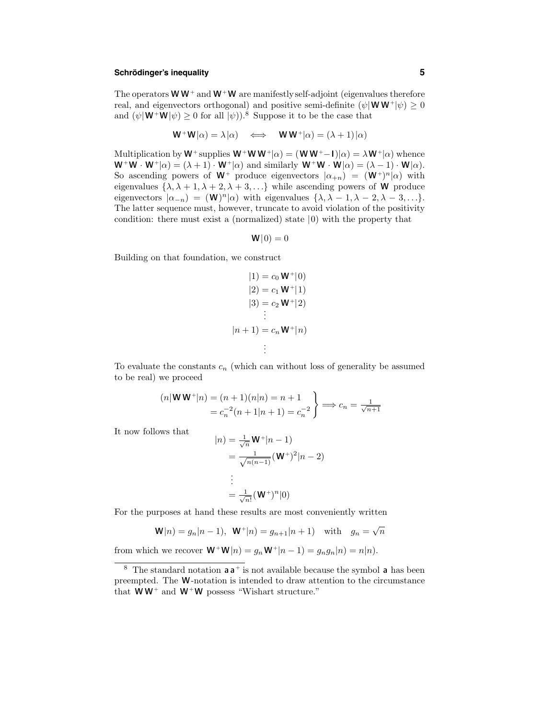# **Schrödinger's inequality 5**

The operators  $W W^+$  and  $W^+ W$  are manifestly self-adjoint (eigenvalues therefore real, and eigenvectors orthogonal) and positive semi-definite  $(\psi | \mathbf{W} \mathbf{W}^+ | \psi) \geq 0$ and  $(\psi | \mathbf{W}^+ \mathbf{W} | \psi) \geq 0$  for all  $|\psi|$ .<sup>8</sup> Suppose it to be the case that

$$
\mathbf{W}^+ \mathbf{W} | \alpha \rangle = \lambda | \alpha \rangle \quad \Longleftrightarrow \quad \mathbf{W} \mathbf{W}^+ | \alpha \rangle = (\lambda + 1) | \alpha \rangle
$$

Multiplication by  $W^+$  supplies  $W^+W W^+|\alpha) = (W W^+ - I)|\alpha) = \lambda W^+|\alpha)$  whence  $W^+W\cdot W^+|\alpha\rangle = (\lambda + 1)\cdot W^+|\alpha\rangle$  and similarly  $W^+W\cdot W|\alpha\rangle = (\lambda - 1)\cdot W|\alpha\rangle$ . So ascending powers of  $W^+$  produce eigenvectors  $|\alpha_{+n}\rangle = (W^+)^n |\alpha\rangle$  with eigenvalues  $\{\lambda, \lambda + 1, \lambda + 2, \lambda + 3, \ldots\}$  while ascending powers of **W** produce eigenvectors  $|\alpha_{-n}\rangle = (\mathbf{W})^n |\alpha\rangle$  with eigenvalues  $\{\lambda, \lambda - 1, \lambda - 2, \lambda - 3, ...\}$ . The latter sequence must, however, truncate to avoid violation of the positivity condition: there must exist a (normalized) state |0) with the property that

$$
\mathbf{W}|0)=0
$$

Building on that foundation, we construct

$$
|1) = c_0 W^+ |0\rangle
$$
  
\n
$$
|2) = c_1 W^+ |1\rangle
$$
  
\n
$$
|3) = c_2 W^+ |2\rangle
$$
  
\n
$$
= c_n W^+ |n\rangle
$$
  
\n
$$
\vdots
$$

To evaluate the constants  $c_n$  (which can without loss of generality be assumed to be real) we proceed

$$
(n|\mathbf{W}\mathbf{W}^+|n) = (n+1)(n|n) = n+1
$$
  
=  $c_n^{-2}(n+1|n+1) = c_n^{-2}$   $\Longrightarrow$   $c_n = \frac{1}{\sqrt{n+1}}$ 

It now follows that

$$
|n) = \frac{1}{\sqrt{n}} \mathbf{W}^+ |n - 1)
$$
  
= 
$$
\frac{1}{\sqrt{n(n-1)}} (\mathbf{W}^+)^2 |n - 2)
$$
  
:  

$$
\vdots
$$
  
= 
$$
\frac{1}{\sqrt{n!}} (\mathbf{W}^+)^n |0)
$$

For the purposes at hand these results are most conveniently written

$$
\mathbf{W}|n) = g_n|n-1|, \ \mathbf{W}^+|n) = g_{n+1}|n+1) \text{ with } g_n = \sqrt{n}
$$

from which we recover  $\mathbf{W}^+ \mathbf{W} | n) = g_n \mathbf{W}^+ | n - 1) = g_n g_n | n) = n | n).$ 

<sup>&</sup>lt;sup>8</sup> The standard notation  $a a<sup>+</sup>$  is not available because the symbol  $a$  has been preempted. The W-notation is intended to draw attention to the circumstance that  $WW^+$  and  $W^+W$  possess "Wishart structure."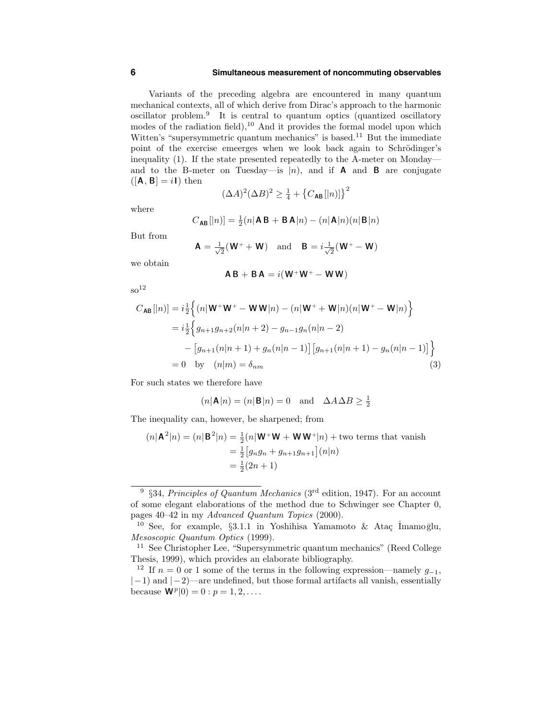#### **6 Simultaneous measurement of noncommuting observables**

Variants of the preceding algebra are encountered in many quantum mechanical contexts, all of which derive from Dirac's approach to the harmonic oscillator problem.<sup>9</sup> It is central to quantum optics (quantized oscillatory modes of the radiation field), $10$  And it provides the formal model upon which Witten's "supersymmetric quantum mechanics" is based.<sup>11</sup> But the immediate point of the exercise emeerges when we look back again to Schrödinger's inequality (1). If the state presented repeatedly to the A-meter on Monday and to the B-meter on Tuesday—is  $|n\rangle$ , and if **A** and **B** are conjugate  $([A, B] = iI)$  then

$$
(\Delta A)^2 (\Delta B)^2 \ge \frac{1}{4} + \left\{ C_{\text{AB}}[|n] \right\}^2
$$

where

$$
C_{\mathsf{AB}}[|n)] = \frac{1}{2}(n|\mathsf{AB} + \mathsf{BA}|n) - (n|\mathsf{A}|n)(n|\mathsf{B}|n)
$$

But from

$$
A = \frac{1}{\sqrt{2}}(W^+ + W) \text{ and } B = i\frac{1}{\sqrt{2}}(W^+ - W)
$$

we obtain

$$
AB + BA = i(W^+W^+ - WW)
$$

 $\rm{so}^{12}$ 

$$
C_{\mathsf{AB}}[|n\rangle] = i\frac{1}{2} \Big\{ (n|\mathbf{W}^+\mathbf{W}^+ - \mathbf{W}\mathbf{W}|n) - (n|\mathbf{W}^+ + \mathbf{W}|n)(n|\mathbf{W}^+ - \mathbf{W}|n) \Big\}
$$
  
=  $i\frac{1}{2} \Big\{ g_{n+1}g_{n+2}(n|n+2) - g_{n-1}g_n(n|n-2) - [g_{n+1}(n|n+1) + g_n(n|n-1)] [g_{n+1}(n|n+1) - g_n(n|n-1)] \Big\}$   
= 0 by  $(n|m) = \delta_{nm}$  (3)

For such states we therefore have

$$
(n|\mathbf{A}|n) = (n|\mathbf{B}|n) = 0
$$
 and  $\Delta A \Delta B \ge \frac{1}{2}$ 

The inequality can, however, be sharpened; from

$$
(n|\mathbf{A}^2|n) = (n|\mathbf{B}^2|n) = \frac{1}{2}(n|\mathbf{W}^+\mathbf{W} + \mathbf{W}\mathbf{W}^+|n) + \text{two terms that vanish}
$$
  
=  $\frac{1}{2}[g_n g_n + g_{n+1} g_{n+1}](n|n)$   
=  $\frac{1}{2}(2n + 1)$ 

<sup>&</sup>lt;sup>9</sup> §34, Principles of Quantum Mechanics (3<sup>rd</sup> edition, 1947). For an account of some elegant elaborations of the method due to Schwinger see Chapter 0, pages 40–42 in my Advanced Quantum Topics (2000).

<sup>&</sup>lt;sup>10</sup> See, for example, §3.1.1 in Yoshihisa Yamamoto & Ataç İmamoglu, Mesoscopic Quantum Optics (1999).

<sup>11</sup> See Christopher Lee, "Supersymmetric quantum mechanics" (Reed College Thesis, 1999), which provides an elaborate bibliography.

<sup>&</sup>lt;sup>12</sup> If  $n = 0$  or 1 some of the terms in the following expression—namely  $q_{-1}$ ,  $|-1\rangle$  and  $|-2\rangle$ —are undefined, but those formal artifacts all vanish, essentially because  $\mathbf{W}^{p}(0) = 0 : p = 1, 2, \ldots$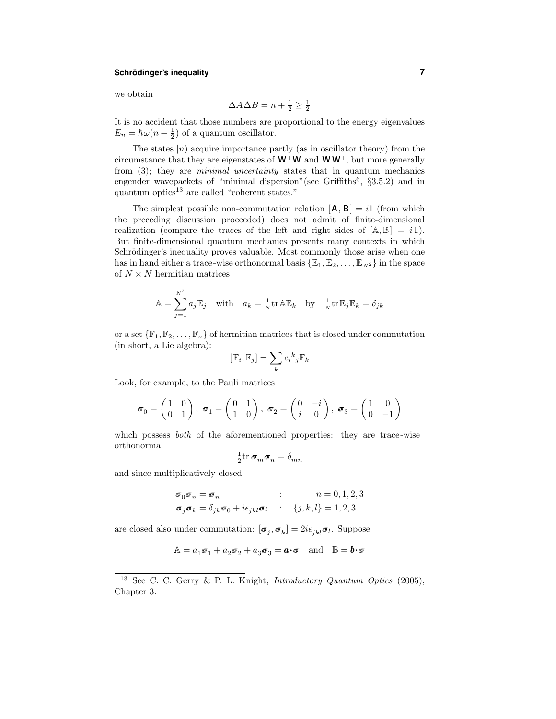# **Schrödinger's inequality 1988 1988 1988 1988 1988 1988 1988 1988 1988 1988 1988 1988 1988 1988 1988 1988 1988 1988 1988 1988 1988 1988 1988 1988 1988 1988 1988 1988**

we obtain

$$
\Delta A \Delta B = n + \frac{1}{2} \ge \frac{1}{2}
$$

It is no accident that those numbers are proportional to the energy eigenvalues  $E_n = \hbar \omega (n + \frac{1}{2})$  of a quantum oscillator.

The states  $|n\rangle$  acquire importance partly (as in oscillator theory) from the circumstance that they are eigenstates of  $W^+W$  and  $WW^+$ , but more generally from  $(3)$ ; they are *minimal uncertainty* states that in quantum mechanics engender wavepackets of "minimal dispersion"(see Griffiths<sup>6</sup>, §3.5.2) and in quantum optics $^{13}$  are called "coherent states."

The simplest possible non-commutation relation  $[A, B] = iI$  (from which the preceding discussion proceeded) does not admit of finite-dimensional realization (compare the traces of the left and right sides of  $[A, \mathbb{B}] = i \mathbb{I}$ ). But finite-dimensional quantum mechanics presents many contexts in which Schrödinger's inequality proves valuable. Most commonly those arise when one has in hand either a trace-wise orthonormal basis  $\{\mathbb{E}_1, \mathbb{E}_2, \ldots, \mathbb{E}_{N^2}\}\$  in the space of  $N \times N$  hermitian matrices

$$
\mathbb{A} = \sum_{j=1}^{N^2} a_j \mathbb{E}_j \quad \text{with} \quad a_k = \frac{1}{N} \text{tr} \mathbb{A} \mathbb{E}_k \quad \text{by} \quad \frac{1}{N} \text{tr} \mathbb{E}_j \mathbb{E}_k = \delta_{jk}
$$

or a set  $\{\mathbb{F}_1, \mathbb{F}_2, \ldots, \mathbb{F}_n\}$  of hermitian matrices that is closed under commutation (in short, a Lie algebra):

$$
[\mathbb{F}_i, \mathbb{F}_j] = \sum_k c_i^k{}_j \mathbb{F}_k
$$

Look, for example, to the Pauli matrices

$$
\boldsymbol{\sigma}_0 = \begin{pmatrix} 1 & 0 \\ 0 & 1 \end{pmatrix}, \ \boldsymbol{\sigma}_1 = \begin{pmatrix} 0 & 1 \\ 1 & 0 \end{pmatrix}, \ \boldsymbol{\sigma}_2 = \begin{pmatrix} 0 & -i \\ i & 0 \end{pmatrix}, \ \boldsymbol{\sigma}_3 = \begin{pmatrix} 1 & 0 \\ 0 & -1 \end{pmatrix}
$$

which possess *both* of the aforementioned properties: they are trace-wise orthonormal

$$
\frac{1}{2} \text{tr } \boldsymbol{\sigma}_m \boldsymbol{\sigma}_n = \delta_{mn}
$$

and since multiplicatively closed

$$
\begin{aligned}\n\sigma_0 \sigma_n &= \sigma_n & \text{if } n = 0, 1, 2, 3 \\
\sigma_j \sigma_k &= \delta_{jk} \sigma_0 + i \epsilon_{jkl} \sigma_l & \text{if } \{j, k, l\} = 1, 2, 3\n\end{aligned}
$$

are closed also under commutation:  $[\sigma_j, \sigma_k] = 2i\epsilon_{jkl}\sigma_l$ . Suppose

$$
\mathbb{A} = a_1 \sigma_1 + a_2 \sigma_2 + a_3 \sigma_3 = \mathbf{a} \cdot \mathbf{\sigma} \quad \text{and} \quad \mathbb{B} = \mathbf{b} \cdot \mathbf{\sigma}
$$

<sup>&</sup>lt;sup>13</sup> See C. C. Gerry & P. L. Knight, *Introductory Quantum Optics* (2005), Chapter 3.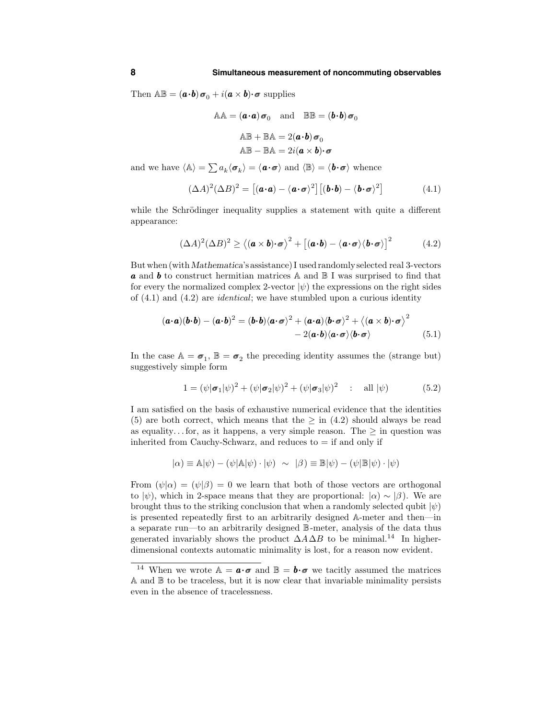Then  $\mathbb{AB} = (\mathbf{a} \cdot \mathbf{b}) \mathbf{\sigma}_0 + i(\mathbf{a} \times \mathbf{b}) \cdot \mathbf{\sigma}$  supplies

$$
AA = (\mathbf{a} \cdot \mathbf{a}) \sigma_0 \text{ and } \mathbb{BB} = (\mathbf{b} \cdot \mathbf{b}) \sigma
$$

$$
AB + BA = 2(\mathbf{a} \cdot \mathbf{b}) \sigma_0
$$

$$
AB - BA = 2i(\mathbf{a} \times \mathbf{b}) \cdot \sigma
$$

and we have  $\langle \mathbb{A} \rangle = \sum a_k \langle \mathcal{\sigma}_k \rangle = \langle \mathbf{a} \cdot \mathcal{\sigma} \rangle$  and  $\langle \mathbb{B} \rangle = \langle \mathbf{b} \cdot \mathcal{\sigma} \rangle$  whence

$$
(\Delta A)^2 (\Delta B)^2 = [(\mathbf{a} \cdot \mathbf{a}) - \langle \mathbf{a} \cdot \mathbf{\sigma} \rangle^2] [(\mathbf{b} \cdot \mathbf{b}) - \langle \mathbf{b} \cdot \mathbf{\sigma} \rangle^2]
$$
(4.1)

while the Schrödinger inequality supplies a statement with quite a different appearance:

$$
(\Delta A)^2 (\Delta B)^2 \ge \langle (\mathbf{a} \times \mathbf{b}) \cdot \mathbf{\sigma} \rangle^2 + [(\mathbf{a} \cdot \mathbf{b}) - \langle \mathbf{a} \cdot \mathbf{\sigma} \rangle \langle \mathbf{b} \cdot \mathbf{\sigma} \rangle]^2 \tag{4.2}
$$

Butwhen(withMathematica's assistance)I usedrandomlyselected real 3-vectors **a** and **b** to construct hermitian matrices  $\mathbb{A}$  and  $\mathbb{B}$  I was surprised to find that for every the normalized complex 2-vector  $|\psi\rangle$  the expressions on the right sides of  $(4.1)$  and  $(4.2)$  are *identical*; we have stumbled upon a curious identity

$$
(\mathbf{a} \cdot \mathbf{a})(\mathbf{b} \cdot \mathbf{b}) - (\mathbf{a} \cdot \mathbf{b})^2 = (\mathbf{b} \cdot \mathbf{b}) \langle \mathbf{a} \cdot \mathbf{\sigma} \rangle^2 + (\mathbf{a} \cdot \mathbf{a}) \langle \mathbf{b} \cdot \mathbf{\sigma} \rangle^2 + \langle (\mathbf{a} \times \mathbf{b}) \cdot \mathbf{\sigma} \rangle^2 - 2(\mathbf{a} \cdot \mathbf{b}) \langle \mathbf{a} \cdot \mathbf{\sigma} \rangle \langle \mathbf{b} \cdot \mathbf{\sigma} \rangle
$$
(5.1)

In the case  $\mathbb{A} = \sigma_1$ ,  $\mathbb{B} = \sigma_2$  the preceding identity assumes the (strange but) suggestively simple form

$$
1 = (\psi|\sigma_1|\psi)^2 + (\psi|\sigma_2|\psi)^2 + (\psi|\sigma_3|\psi)^2 \quad : \quad \text{all } |\psi)
$$
 (5.2)

I am satisfied on the basis of exhaustive numerical evidence that the identities (5) are both correct, which means that the  $\geq$  in (4.2) should always be read as equality... for, as it happens, a very simple reason. The  $\geq$  in question was inherited from Cauchy-Schwarz, and reduces to  $=$  if and only if

$$
|\alpha) \equiv \mathbb{A}|\psi) - (\psi|\mathbb{A}|\psi) \cdot |\psi) \sim |\beta) \equiv \mathbb{B}|\psi) - (\psi|\mathbb{B}|\psi) \cdot |\psi)
$$

From  $(\psi|\alpha) = (\psi|\beta) = 0$  we learn that both of those vectors are orthogonal to  $|\psi\rangle$ , which in 2-space means that they are proportional:  $|\alpha\rangle \sim |\beta\rangle$ . We are brought thus to the striking conclusion that when a randomly selected qubit  $|\psi\rangle$ is presented repeatedly first to an arbitrarily designed A-meter and then—in a separate run—to an arbitrarily designed B-meter, analysis of the data thus generated invariably shows the product  $\Delta A\Delta B$  to be minimal.<sup>14</sup> In higherdimensional contexts automatic minimality is lost, for a reason now evident.

<sup>&</sup>lt;sup>14</sup> When we wrote  $A = \boldsymbol{a} \cdot \boldsymbol{\sigma}$  and  $B = \boldsymbol{b} \cdot \boldsymbol{\sigma}$  we tacitly assumed the matrices A and B to be traceless, but it is now clear that invariable minimality persists even in the absence of tracelessness.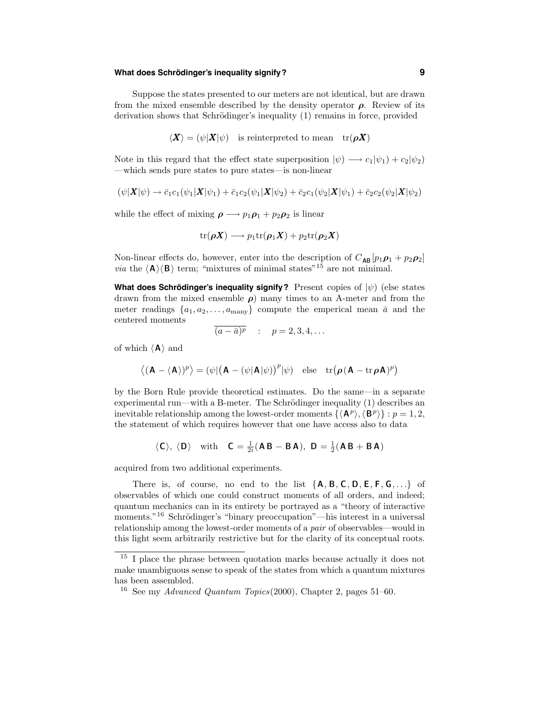# $M$  **Mhat does Schrödinger's inequality signify? <b>Example 20 and SCS**

Suppose the states presented to our meters are not identical, but are drawn from the mixed ensemble described by the density operator  $\rho$ . Review of its derivation shows that Schrödinger's inequality (1) remains in force, provided

$$
\langle \boldsymbol{X} \rangle = (\psi | \boldsymbol{X} | \psi) \quad \text{is reinterpreted to mean} \quad \text{tr}(\boldsymbol{\rho} \boldsymbol{X})
$$

Note in this regard that the effect state superposition  $|\psi\rangle \longrightarrow c_1|\psi_1\rangle + c_2|\psi_2\rangle$ —which sends pure states to pure states—is non-linear

$$
(\psi|\mathbf{X}|\psi) \to \bar{c}_1c_1(\psi_1|\mathbf{X}|\psi_1) + \bar{c}_1c_2(\psi_1|\mathbf{X}|\psi_2) + \bar{c}_2c_1(\psi_2|\mathbf{X}|\psi_1) + \bar{c}_2c_2(\psi_2|\mathbf{X}|\psi_2)
$$

while the effect of mixing  $\rho \longrightarrow p_1 \rho_1 + p_2 \rho_2$  is linear

$$
\mathrm{tr}(\boldsymbol{\rho} \boldsymbol{X}) \longrightarrow p_1 \mathrm{tr}(\boldsymbol{\rho}_1 \boldsymbol{X}) + p_2 \mathrm{tr}(\boldsymbol{\rho}_2 \boldsymbol{X})
$$

Non-linear effects do, however, enter into the description of  $C_{AB} [p_1 \rho_1 + p_2 \rho_2]$ *via* the  $\langle A \rangle \langle B \rangle$  term; "mixtures of minimal states"<sup>15</sup> are not minimal.

**What does Schrödinger's inequality signify?** Present copies of  $|\psi\rangle$  (else states drawn from the mixed ensemble  $\rho$ ) many times to an A-meter and from the meter readings  $\{a_1, a_2, \ldots, a_{\text{many}}\}$  compute the emperical mean  $\bar{a}$  and the centered moments

$$
\overline{(a-\overline{a})^p} \quad : \quad p=2,3,4,\ldots
$$

of which  $\langle A \rangle$  and

$$
\left\langle (\mathbf{A}-\langle \mathbf{A} \rangle)^p \right\rangle = (\psi|(\mathbf{A}-(\psi|\mathbf{A}|\psi))^p|\psi) \quad \text{else} \quad \text{tr}(\boldsymbol{\rho}(\mathbf{A}-\text{tr}\,\boldsymbol{\rho}\mathbf{A})^p)
$$

by the Born Rule provide theoretical estimates. Do the same—in a separate experimental run—with a B-meter. The Schrödinger inequality  $(1)$  describes an inevitable relationship among the lowest-order moments  $\{ \langle \mathbf{A}^p \rangle, \langle \mathbf{B}^p \rangle \} : p = 1, 2$ , the statement of which requires however that one have access also to data

$$
\langle C \rangle
$$
,  $\langle D \rangle$  with  $C = \frac{1}{2i}(AB - BA)$ ,  $D = \frac{1}{2}(AB + BA)$ 

acquired from two additional experiments.

There is, of course, no end to the list  ${A, B, C, D, E, F, G, \ldots}$  of observables of which one could construct moments of all orders, and indeed; quantum mechanics can in its entirety be portrayed as a "theory of interactive moments."<sup>16</sup> Schrödinger's "binary preoccupation"—his interest in a universal relationship among the lowest-order moments of a pair of observables—would in this light seem arbitrarily restrictive but for the clarity of its conceptual roots.

 $^{15}$  I place the phrase between quotation marks because actually it does not make unambiguous sense to speak of the states from which a quantum mixtures has been assembled.

<sup>&</sup>lt;sup>16</sup> See my *Advanced Quantum Topics*(2000), Chapter 2, pages  $51-60$ .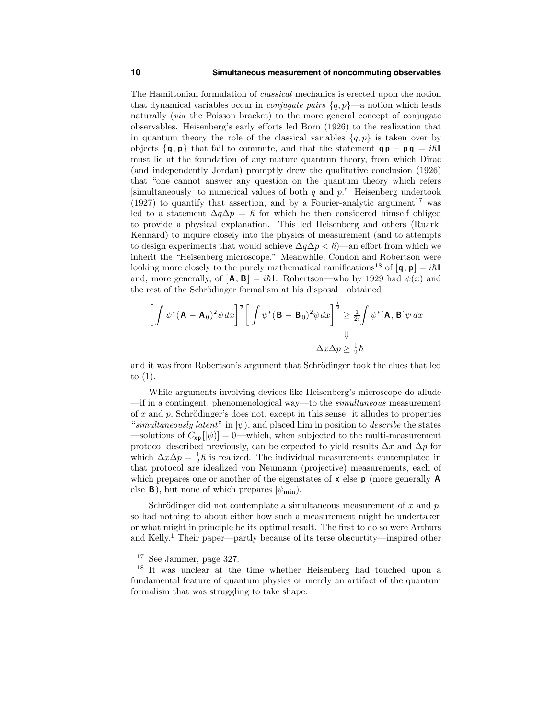#### **10 Simultaneous measurement of noncommuting observables**

The Hamiltonian formulation of classical mechanics is erected upon the notion that dynamical variables occur in *conjugate pairs*  $\{q, p\}$ —a notion which leads naturally (via the Poisson bracket) to the more general concept of conjugate observables. Heisenberg's early efforts led Born (1926) to the realization that in quantum theory the role of the classical variables  $\{q, p\}$  is taken over by objects  $\{q, p\}$  that fail to commute, and that the statement  $qp - pq = i\hbar$ must lie at the foundation of any mature quantum theory, from which Dirac (and independently Jordan) promptly drew the qualitative conclusion (1926) that "one cannot answer any question on the quantum theory which refers [simultaneously] to numerical values of both  $q$  and  $p$ ." Heisenberg undertook (1927) to quantify that assertion, and by a Fourier-analytic argument<sup>17</sup> was led to a statement  $\Delta q \Delta p = \hbar$  for which he then considered himself obliged to provide a physical explanation. This led Heisenberg and others (Ruark, Kennard) to inquire closely into the physics of measurement (and to attempts to design experiments that would achieve  $\Delta q \Delta p < \hbar$ )—an effort from which we inherit the "Heisenberg microscope." Meanwhile, Condon and Robertson were looking more closely to the purely mathematical ramifications<sup>18</sup> of  $[q, p] = i\hbar$ and, more generally, of  $[\mathbf{A}, \mathbf{B}] = i\hbar \mathbf{I}$ . Robertson—who by 1929 had  $\psi(x)$  and the rest of the Schrödinger formalism at his disposal—obtained

$$
\left[\int \psi^*(\mathbf{A} - \mathbf{A}_0)^2 \psi \, dx\right]^{\frac{1}{2}} \left[\int \psi^*(\mathbf{B} - \mathbf{B}_0)^2 \psi \, dx\right]^{\frac{1}{2}} \ge \frac{1}{2i} \int \psi^*[\mathbf{A}, \mathbf{B}] \psi \, dx
$$

$$
\Delta x \Delta p \ge \frac{1}{2} \hbar
$$

and it was from Robertson's argument that Schrödinger took the clues that led to (1).

While arguments involving devices like Heisenberg's microscope do allude —if in a contingent, phenomenological way—to the simultaneous measurement of x and p, Schrödinger's does not, except in this sense: it alludes to properties "simultaneously latent" in  $|\psi\rangle$ , and placed him in position to *describe* the states —solutions of  $C_{\mathbf{x} \mathbf{p}} [\ket{\psi}] = 0$ —which, when subjected to the multi-measurement protocol described previously, can be expected to yield results  $\Delta x$  and  $\Delta p$  for which  $\Delta x \Delta p = \frac{1}{2}\hbar$  is realized. The individual measurements contemplated in that protocol are idealized von Neumann (projective) measurements, each of which prepares one or another of the eigenstates of  $x$  else  $p$  (more generally A else **B**), but none of which prepares  $|\psi_{\text{min}}|$ .

Schrödinger did not contemplate a simultaneous measurement of x and  $p$ , so had nothing to about either how such a measurement might be undertaken or what might in principle be its optimal result. The first to do so were Arthurs and Kelly. <sup>1</sup> Their paper—partly because of its terse obscurtity—inspired other

<sup>17</sup> See Jammer, page 327.

<sup>18</sup> It was unclear at the time whether Heisenberg had touched upon a fundamental feature of quantum physics or merely an artifact of the quantum formalism that was struggling to take shape.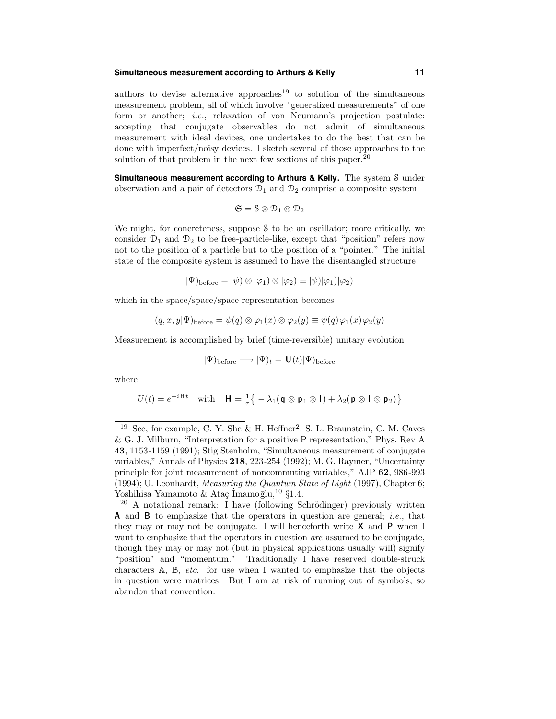#### **Simultaneous measurement according to Arthurs & Kelly 11**

authors to devise alternative approaches<sup>19</sup> to solution of the simultaneous measurement problem, all of which involve "generalized measurements" of one form or another; i.e., relaxation of von Neumann's projection postulate: accepting that conjugate observables do not admit of simultaneous measurement with ideal devices, one undertakes to do the best that can be done with imperfect/noisy devices. I sketch several of those approaches to the solution of that problem in the next few sections of this paper.<sup>20</sup>

**Simultaneous measurement according to Arthurs & Kelly.** The system S under observation and a pair of detectors  $\mathcal{D}_1$  and  $\mathcal{D}_2$  comprise a composite system

$$
\mathfrak{S}=\mathbb{S}\otimes \mathcal{D}_1\otimes \mathcal{D}_2
$$

We might, for concreteness, suppose S to be an oscillator; more critically, we consider  $\mathcal{D}_1$  and  $\mathcal{D}_2$  to be free-particle-like, except that "position" refers now not to the position of a particle but to the position of a "pointer." The initial state of the composite system is assumed to have the disentangled structure

$$
|\Psi)_{\text{before}} = |\psi) \otimes |\varphi_1| \otimes |\varphi_2| \equiv |\psi| |\varphi_1| |\varphi_2|
$$

which in the space/space/space representation becomes

$$
(q, x, y | \Psi)_{\text{before}} = \psi(q) \otimes \varphi_1(x) \otimes \varphi_2(y) \equiv \psi(q) \varphi_1(x) \varphi_2(y)
$$

Measurement is accomplished by brief (time-reversible) unitary evolution

$$
|\Psi)_{\rm before} \longrightarrow |\Psi)_t = \mathbf{U}(t) |\Psi)_{\rm before}
$$

where

$$
U(t) = e^{-i\mathbf{H}t} \quad \text{with} \quad \mathbf{H} = \frac{1}{\tau} \{-\lambda_1 (\mathbf{q} \otimes \mathbf{p}_1 \otimes \mathbf{I}) + \lambda_2 (\mathbf{p} \otimes \mathbf{I} \otimes \mathbf{p}_2) \}
$$

<sup>&</sup>lt;sup>19</sup> See, for example, C. Y. She & H. Heffner<sup>2</sup>; S. L. Braunstein, C. M. Caves & G. J. Milburn, "Interpretation for a positive P representation," Phys. Rev A 43, 1153-1159 (1991); Stig Stenholm, "Simultaneous measurement of conjugate variables," Annals of Physics 218, 223-254 (1992); M. G. Raymer, "Uncertainty principle for joint measurement of noncommuting variables," AJP 62, 986-993 (1994); U. Leonhardt, Measuring the Quantum State of Light (1997), Chapter 6; Yoshihisa Yamamoto & Ataç İmamo $\bar{g}$ lu,<sup>10</sup> §1.4.

 $20$  A notational remark: I have (following Schrödinger) previously written **A** and **B** to emphasize that the operators in question are general; *i.e.*, that they may or may not be conjugate. I will henceforth write  $X$  and  $P$  when I want to emphasize that the operators in question *are* assumed to be conjugate, though they may or may not (but in physical applications usually will) signify "position" and "momentum." Traditionally I have reserved double-struck characters  $A$ ,  $B$ , *etc.* for use when I wanted to emphasize that the objects in question were matrices. But I am at risk of running out of symbols, so abandon that convention.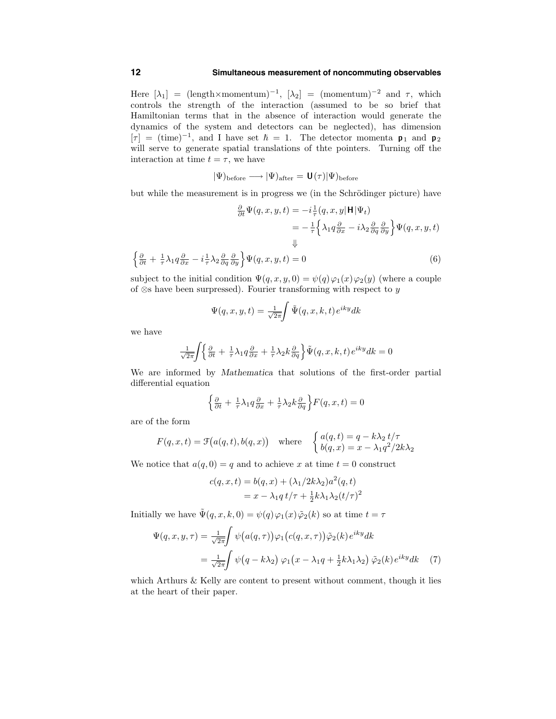Here  $[\lambda_1] = (\text{length} \times \text{momentum})^{-1}$ ,  $[\lambda_2] = (\text{momentum})^{-2}$  and  $\tau$ , which controls the strength of the interaction (assumed to be so brief that Hamiltonian terms that in the absence of interaction would generate the dynamics of the system and detectors can be neglected), has dimension  $[\tau] = (\text{time})^{-1}$ , and I have set  $\hbar = 1$ . The detector momenta  $p_1$  and  $p_2$ will serve to generate spatial translations of the pointers. Turning off the interaction at time  $t = \tau$ , we have

$$
|\Psi\rangle_{\text{before}} \longrightarrow |\Psi\rangle_{\text{after}} = \mathbf{U}(\tau)|\Psi\rangle_{\text{before}}
$$

but while the measurement is in progress we (in the Schrödinger picture) have

$$
\frac{\partial}{\partial t}\Psi(q, x, y, t) = -i\frac{1}{\tau}(q, x, y|\mathbf{H}|\Psi_t)
$$

$$
= -\frac{1}{\tau}\left\{\lambda_1 q \frac{\partial}{\partial x} - i\lambda_2 \frac{\partial}{\partial q} \frac{\partial}{\partial y}\right\}\Psi(q, x, y, t)
$$

$$
\downarrow
$$

$$
\left\{\frac{\partial}{\partial t} + \frac{1}{\tau}\lambda_1 q \frac{\partial}{\partial x} - i\frac{1}{\tau}\lambda_2 \frac{\partial}{\partial q} \frac{\partial}{\partial y}\right\}\Psi(q, x, y, t) = 0
$$
(6)

subject to the initial condition  $\Psi(q, x, y, 0) = \psi(q)\varphi_1(x)\varphi_2(y)$  (where a couple of ⊗s have been surpressed). Fourier transforming with respect to  $y$ 

$$
\Psi(q,x,y,t) = \frac{1}{\sqrt{2\pi}} \int \tilde{\Psi}(q,x,k,t) e^{iky} dk
$$

we have

$$
\frac{1}{\sqrt{2\pi}} \left\{ \frac{\partial}{\partial t} + \frac{1}{\tau} \lambda_1 q \frac{\partial}{\partial x} + \frac{1}{\tau} \lambda_2 k \frac{\partial}{\partial q} \right\} \tilde{\Psi}(q, x, k, t) e^{iky} dk = 0
$$

We are informed by Mathematica that solutions of the first-order partial differential equation

$$
\left\{\frac{\partial}{\partial t} + \frac{1}{\tau}\lambda_1 q \frac{\partial}{\partial x} + \frac{1}{\tau}\lambda_2 k \frac{\partial}{\partial q}\right\} F(q, x, t) = 0
$$

are of the form

$$
F(q, x, t) = \mathcal{F}(a(q, t), b(q, x)) \quad \text{where} \quad \begin{cases} a(q, t) = q - k\lambda_2 \ t/\tau \\ b(q, x) = x - \lambda_1 q^2/2k\lambda_2 \end{cases}
$$

We notice that  $a(q, 0) = q$  and to achieve x at time  $t = 0$  construct

$$
c(q, x, t) = b(q, x) + (\lambda_1/2k\lambda_2)a^2(q, t)
$$
  
=  $x - \lambda_1 q t/\tau + \frac{1}{2}k\lambda_1\lambda_2(t/\tau)^2$ 

Initially we have  $\tilde{\Psi}(q, x, k, 0) = \psi(q)\varphi_1(x)\tilde{\varphi}_2(k)$  so at time  $t = \tau$ 

$$
\Psi(q, x, y, \tau) = \frac{1}{\sqrt{2\pi}} \int \psi(a(q, \tau)) \varphi_1(c(q, x, \tau)) \tilde{\varphi}_2(k) e^{iky} dk
$$
  

$$
= \frac{1}{\sqrt{2\pi}} \int \psi(q - k\lambda_2) \varphi_1(x - \lambda_1 q + \frac{1}{2} k\lambda_1 \lambda_2) \tilde{\varphi}_2(k) e^{iky} dk \quad (7)
$$

which Arthurs & Kelly are content to present without comment, though it lies at the heart of their paper.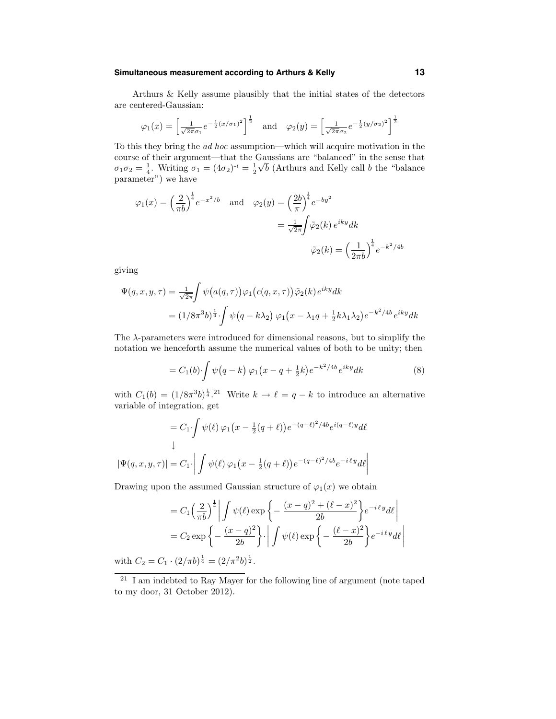## **Simultaneous measurement according to Arthurs & Kelly 13**

Arthurs & Kelly assume plausibly that the initial states of the detectors are centered-Gaussian:

$$
\varphi_1(x) = \left[\frac{1}{\sqrt{2\pi}\sigma_1}e^{-\frac{1}{2}(x/\sigma_1)^2}\right]^{\frac{1}{2}}
$$
 and  $\varphi_2(y) = \left[\frac{1}{\sqrt{2\pi}\sigma_2}e^{-\frac{1}{2}(y/\sigma_2)^2}\right]^{\frac{1}{2}}$ 

To this they bring the ad hoc assumption—which will acquire motivation in the course of their argument—that the Gaussians are "balanced" in the sense that  $\sigma_1 \sigma_2 = \frac{1}{4}$ . Writing  $\sigma_1 = (4\sigma_2)^{-1} = \frac{1}{2}$  $\sqrt{b}$  (Arthurs and Kelly call b the "balance") parameter") we have

$$
\varphi_1(x) = \left(\frac{2}{\pi b}\right)^{\frac{1}{4}} e^{-x^2/b} \quad \text{and} \quad \varphi_2(y) = \left(\frac{2b}{\pi}\right)^{\frac{1}{4}} e^{-by^2}
$$

$$
= \frac{1}{\sqrt{2\pi}} \int \tilde{\varphi}_2(k) e^{iky} dk
$$

$$
\tilde{\varphi}_2(k) = \left(\frac{1}{2\pi b}\right)^{\frac{1}{4}} e^{-k^2/4b}
$$

giving

$$
\Psi(q, x, y, \tau) = \frac{1}{\sqrt{2\pi}} \int \psi(a(q, \tau)) \varphi_1(c(q, x, \tau)) \tilde{\varphi}_2(k) e^{iky} dk
$$
  
=  $(1/8\pi^3 b)^{\frac{1}{4}} \int \psi(q - k\lambda_2) \varphi_1(x - \lambda_1 q + \frac{1}{2}k\lambda_1 \lambda_2) e^{-k^2/4b} e^{iky} dk$ 

The  $\lambda$ -parameters were introduced for dimensional reasons, but to simplify the notation we henceforth assume the numerical values of both to be unity; then

$$
= C_1(b) \int \psi(q-k) \varphi_1(x-q+\frac{1}{2}k) e^{-k^2/4b} e^{iky} dk \tag{8}
$$

with  $C_1(b) = (1/8\pi^3b)^{\frac{1}{4}}$ .<sup>21</sup> Write  $k \to \ell = q - k$  to introduce an alternative variable of integration, get

$$
= C_1 \int \psi(\ell) \varphi_1(x - \frac{1}{2}(q + \ell)) e^{-(q - \ell)^2 / 4b} e^{i(q - \ell)y} d\ell
$$
  

$$
\downarrow
$$
  

$$
|\Psi(q, x, y, \tau)| = C_1 \cdot \left| \int \psi(\ell) \varphi_1(x - \frac{1}{2}(q + \ell)) e^{-(q - \ell)^2 / 4b} e^{-i\ell y} d\ell \right|
$$

Drawing upon the assumed Gaussian structure of  $\varphi_1(x)$  we obtain

$$
= C_1 \left(\frac{2}{\pi b}\right)^{\frac{1}{4}} \left| \int \psi(\ell) \exp\left\{-\frac{(x-q)^2 + (\ell - x)^2}{2b}\right\} e^{-i\ell y} d\ell \right|
$$
  
=  $C_2 \exp\left\{-\frac{(x-q)^2}{2b}\right\} \cdot \left| \int \psi(\ell) \exp\left\{-\frac{(\ell - x)^2}{2b}\right\} e^{-i\ell y} d\ell \right|$ 

with  $C_2 = C_1 \cdot (2/\pi b)^{\frac{1}{4}} = (2/\pi^2 b)^{\frac{1}{2}}$ .

<sup>21</sup> I am indebted to Ray Mayer for the following line of argument (note taped to my door, 31 October 2012).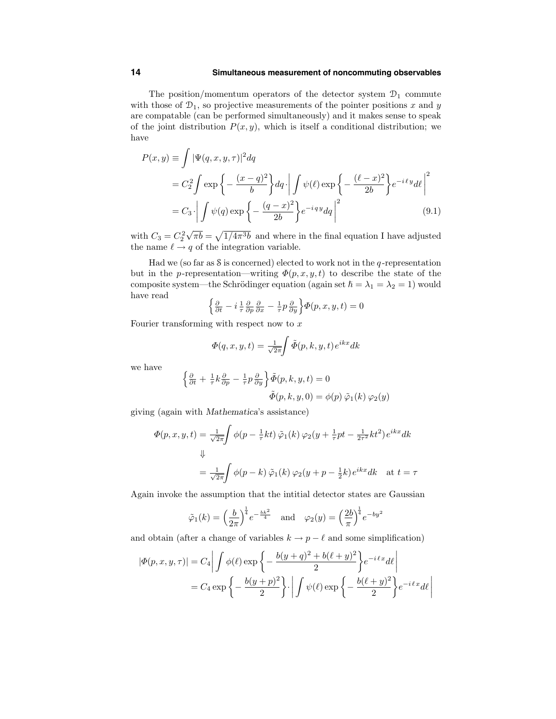#### **14 Simultaneous measurement of noncommuting observables**

The position/momentum operators of the detector system  $\mathcal{D}_1$  commute with those of  $\mathcal{D}_1$ , so projective measurements of the pointer positions x and y are compatable (can be performed simultaneously) and it makes sense to speak of the joint distribution  $P(x, y)$ , which is itself a conditional distribution; we have

$$
P(x,y) \equiv \int |\Psi(q,x,y,\tau)|^2 dq
$$
  
=  $C_2^2 \int \exp \left\{-\frac{(x-q)^2}{b}\right\} dq \cdot \left| \int \psi(\ell) \exp \left\{-\frac{(\ell-x)^2}{2b}\right\} e^{-i\ell y} d\ell \right|^2$   
=  $C_3 \cdot \left| \int \psi(q) \exp \left\{-\frac{(q-x)^2}{2b}\right\} e^{-iqy} dq \right|^2$  (9.1)

with  $C_3 = C_2^2 \sqrt{\pi b} = \sqrt{1/4\pi^3 b}$  and where in the final equation I have adjusted the name  $\ell \to q$  of the integration variable.

Had we (so far as S is concerned) elected to work not in the q-representation but in the p-representation—writing  $\Phi(p, x, y, t)$  to describe the state of the composite system—the Schrödinger equation (again set  $\hbar = \lambda_1 = \lambda_2 = 1$ ) would have read

$$
\left\{\frac{\partial}{\partial t} - i\frac{1}{\tau}\frac{\partial}{\partial p}\frac{\partial}{\partial x} - \frac{1}{\tau}p\frac{\partial}{\partial y}\right\}\Phi(p, x, y, t) = 0
$$

Fourier transforming with respect now to  $x$ 

$$
\Phi(q, x, y, t) = \frac{1}{\sqrt{2\pi}} \int \tilde{\Phi}(p, k, y, t) e^{ikx} dk
$$

we have

$$
\begin{aligned} \left\{ \frac{\partial}{\partial t} + \frac{1}{\tau} k \frac{\partial}{\partial p} - \frac{1}{\tau} p \frac{\partial}{\partial y} \right\} \tilde{\Phi}(p, k, y, t) &= 0 \\ \tilde{\Phi}(p, k, y, 0) &= \phi(p) \, \tilde{\varphi}_1(k) \, \varphi_2(y) \end{aligned}
$$

giving (again with Mathematica's assistance)

$$
\Phi(p, x, y, t) = \frac{1}{\sqrt{2\pi}} \int \phi(p - \frac{1}{\tau}kt) \tilde{\varphi}_1(k) \varphi_2(y + \frac{1}{\tau}pt - \frac{1}{2\tau^2}kt^2) e^{ikx} dk
$$
  

$$
\downarrow
$$
  

$$
= \frac{1}{\sqrt{2\pi}} \int \phi(p - k) \tilde{\varphi}_1(k) \varphi_2(y + p - \frac{1}{2}k) e^{ikx} dk \text{ at } t = \tau
$$

Again invoke the assumption that the intitial detector states are Gaussian

$$
\tilde{\varphi}_1(k) = \left(\frac{b}{2\pi}\right)^{\frac{1}{4}} e^{-\frac{bk^2}{4}}
$$
 and  $\varphi_2(y) = \left(\frac{2b}{\pi}\right)^{\frac{1}{4}} e^{-by^2}$ 

and obtain (after a change of variables  $k \to p - \ell$  and some simplification)

$$
|\Phi(p, x, y, \tau)| = C_4 \left| \int \phi(\ell) \exp \left\{ -\frac{b(y+q)^2 + b(\ell+y)^2}{2} \right\} e^{-i\ell x} d\ell \right|
$$
  
=  $C_4 \exp \left\{ -\frac{b(y+p)^2}{2} \right\} \cdot \left| \int \psi(\ell) \exp \left\{ -\frac{b(\ell+y)^2}{2} \right\} e^{-i\ell x} d\ell \right|$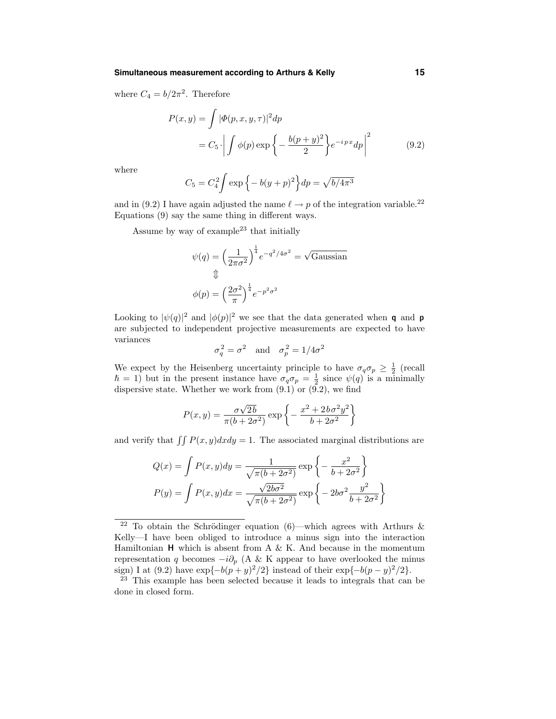#### **Simultaneous measurement according to Arthurs & Kelly 15**

where  $C_4 = b/2\pi^2$ . Therefore

$$
P(x,y) = \int |\Phi(p,x,y,\tau)|^2 dp
$$
  
=  $C_5 \cdot \left| \int \phi(p) \exp \left\{-\frac{b(p+y)^2}{2}\right\} e^{-ipx} dp \right|^2$  (9.2)

where

$$
C_5 = C_4^2 \int \exp\{-b(y+p)^2\} dp = \sqrt{b/4\pi^3}
$$

and in (9.2) I have again adjusted the name  $\ell \to p$  of the integration variable.<sup>22</sup> Equations (9) say the same thing in different ways.

Assume by way of example<sup>23</sup> that initially

$$
\psi(q) = \left(\frac{1}{2\pi\sigma^2}\right)^{\frac{1}{4}} e^{-q^2/4\sigma^2} = \sqrt{\text{Gaussian}}
$$

$$
\Downarrow
$$

$$
\phi(p) = \left(\frac{2\sigma^2}{\pi}\right)^{\frac{1}{4}} e^{-p^2 \sigma^2}
$$

Looking to  $|\psi(q)|^2$  and  $|\phi(p)|^2$  we see that the data generated when **q** and **p** are subjected to independent projective measurements are expected to have variances

$$
\sigma_q^2 = \sigma^2
$$
 and  $\sigma_p^2 = 1/4\sigma^2$ 

We expect by the Heisenberg uncertainty principle to have  $\sigma_q \sigma_p \geq \frac{1}{2}$  (recall  $\hbar = 1$ ) but in the present instance have  $\sigma_q \sigma_p = \frac{1}{2}$  since  $\psi(q)$  is a minimally dispersive state. Whether we work from (9.1) or (9.2), we find

$$
P(x,y) = \frac{\sigma\sqrt{2b}}{\pi(b+2\sigma^2)} \exp\left\{-\frac{x^2 + 2b\sigma^2 y^2}{b+2\sigma^2}\right\}
$$

and verify that  $\iint P(x, y)dxdy = 1$ . The associated marginal distributions are

$$
Q(x) = \int P(x, y) dy = \frac{1}{\sqrt{\pi (b + 2\sigma^2)}} \exp\left\{-\frac{x^2}{b + 2\sigma^2}\right\}
$$

$$
P(y) = \int P(x, y) dx = \frac{\sqrt{2b\sigma^2}}{\sqrt{\pi (b + 2\sigma^2)}} \exp\left\{-2b\sigma^2 \frac{y^2}{b + 2\sigma^2}\right\}
$$

<sup>&</sup>lt;sup>22</sup> To obtain the Schrödinger equation (6)—which agrees with Arthurs & Kelly—I have been obliged to introduce a minus sign into the interaction Hamiltonian  $H$  which is absent from A & K. And because in the momentum representation q becomes  $-i\partial_p$  (A & K appear to have overlooked the minus sign) I at (9.2) have  $\exp{-b(p+y)^2/2}$  instead of their  $\exp{-b(p-y)^2/2}$ .

<sup>&</sup>lt;sup>23</sup> This example has been selected because it leads to integrals that can be done in closed form.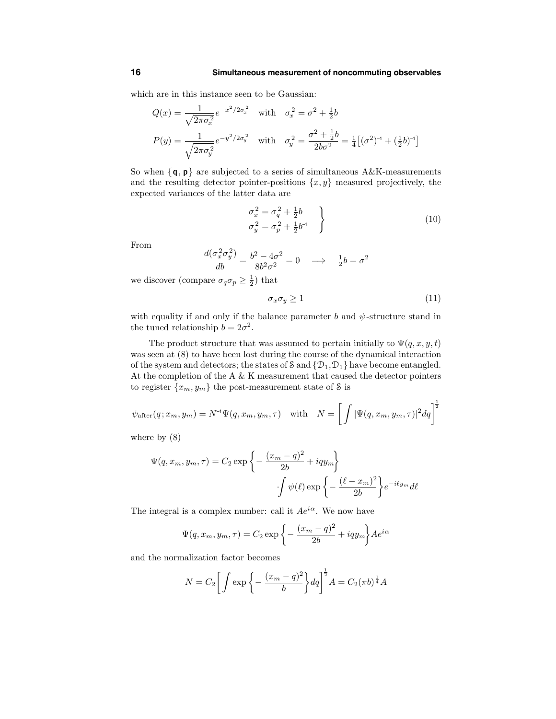which are in this instance seen to be Gaussian:

$$
Q(x) = \frac{1}{\sqrt{2\pi\sigma_x^2}} e^{-x^2/2\sigma_x^2} \quad \text{with} \quad \sigma_x^2 = \sigma^2 + \frac{1}{2}b
$$

$$
P(y) = \frac{1}{\sqrt{2\pi\sigma_y^2}} e^{-y^2/2\sigma_y^2} \quad \text{with} \quad \sigma_y^2 = \frac{\sigma^2 + \frac{1}{2}b}{2b\sigma^2} = \frac{1}{4} \left[ (\sigma^2)^{-1} + (\frac{1}{2}b)^{-1} \right]
$$

So when  $\{q, p\}$  are subjected to a series of simultaneous A&K-measurements and the resulting detector pointer-positions  $\{x, y\}$  measured projectively, the expected variances of the latter data are

$$
\sigma_x^2 = \sigma_q^2 + \frac{1}{2}b \n\sigma_y^2 = \sigma_p^2 + \frac{1}{2}b^{-1}
$$
\n(10)

From

$$
\frac{d(\sigma_x^2 \sigma_y^2)}{db} = \frac{b^2 - 4\sigma^2}{8b^2 \sigma^2} = 0 \implies \frac{1}{2}b = \sigma^2
$$

we discover (compare  $\sigma_q \sigma_p \geq \frac{1}{2}$ ) that

$$
\sigma_x \sigma_y \ge 1 \tag{11}
$$

with equality if and only if the balance parameter b and  $\psi$ -structure stand in the tuned relationship  $b = 2\sigma^2$ .

The product structure that was assumed to pertain initially to  $\Psi(q, x, y, t)$ was seen at (8) to have been lost during the course of the dynamical interaction of the system and detectors; the states of S and  $\{D_1, D_1\}$  have become entangled. At the completion of the A & K measurement that caused the detector pointers to register  $\{x_m, y_m\}$  the post-measurement state of S is

$$
\psi_{\text{after}}(q; x_m, y_m) = N^{-1} \Psi(q, x_m, y_m, \tau) \quad \text{with} \quad N = \left[ \int |\Psi(q, x_m, y_m, \tau)|^2 dq \right]^{\frac{1}{2}}
$$

where by (8)

$$
\Psi(q, x_m, y_m, \tau) = C_2 \exp \left\{ -\frac{(x_m - q)^2}{2b} + iqy_m \right\}
$$

$$
\int \psi(\ell) \exp \left\{ -\frac{(\ell - x_m)^2}{2b} \right\} e^{-i\ell y_m} d\ell
$$

The integral is a complex number: call it  $Ae^{i\alpha}$ . We now have

$$
\Psi(q,x_m,y_m,\tau)=C_2\exp\bigg\{-\frac{(x_m-q)^2}{2b}+iqy_m\bigg\}Ae^{i\alpha}
$$

and the normalization factor becomes

$$
N = C_2 \left[ \int \exp \left\{ - \frac{(x_m - q)^2}{b} \right\} dq \right]^{\frac{1}{2}} A = C_2 (\pi b)^{\frac{1}{4}} A
$$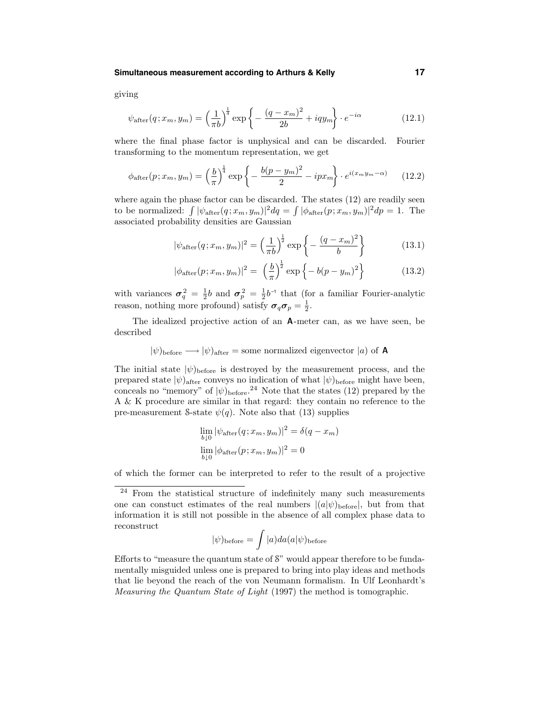#### **Simultaneous measurement according to Arthurs & Kelly 17**

giving

$$
\psi_{\text{after}}(q; x_m, y_m) = \left(\frac{1}{\pi b}\right)^{\frac{1}{4}} \exp\left\{-\frac{(q - x_m)^2}{2b} + iqy_m\right\} \cdot e^{-i\alpha} \tag{12.1}
$$

where the final phase factor is unphysical and can be discarded. Fourier transforming to the momentum representation, we get

$$
\phi_{\text{after}}(p; x_m, y_m) = \left(\frac{b}{\pi}\right)^{\frac{1}{4}} \exp\left\{-\frac{b(p - y_m)^2}{2} - ipx_m\right\} \cdot e^{i(x_m y_m - \alpha)} \tag{12.2}
$$

where again the phase factor can be discarded. The states (12) are readily seen to be normalized:  $\int |\psi_{\text{after}}(q; x_m, y_m)|^2 dq = \int |\phi_{\text{after}}(p; x_m, y_m)|^2 dp = 1$ . The associated probability densities are Gaussian

$$
|\psi_{\text{after}}(q; x_m, y_m)|^2 = \left(\frac{1}{\pi b}\right)^{\frac{1}{2}} \exp\left\{-\frac{(q - x_m)^2}{b}\right\} \tag{13.1}
$$

$$
|\phi_{\text{after}}(p; x_m, y_m)|^2 = \left(\frac{b}{\pi}\right)^{\frac{1}{2}} \exp\left\{-b(p - y_m)^2\right\}
$$
 (13.2)

with variances  $\sigma_q^2 = \frac{1}{2}b$  and  $\sigma_p^2 = \frac{1}{2}b^{-1}$  that (for a familiar Fourier-analytic reason, nothing more profound) satisfy  $\sigma_q \sigma_p = \frac{1}{2}$ .

The idealized projective action of an A-meter can, as we have seen, be described

$$
|\psi\rangle_{\text{before}} \longrightarrow |\psi\rangle_{\text{after}} = \text{some normalized eigenvector } |a\rangle \text{ of } A
$$

The initial state  $|\psi\rangle_{\text{before}}$  is destroyed by the measurement process, and the prepared state  $|\psi\rangle_{\text{after}}$  conveys no indication of what  $|\psi\rangle_{\text{before}}$  might have been, conceals no "memory" of  $|\psi\rangle_{\text{before}}$ <sup>24</sup> Note that the states (12) prepared by the A & K procedure are similar in that regard: they contain no reference to the pre-measurement S-state  $\psi(q)$ . Note also that (13) supplies

$$
\lim_{b \downarrow 0} |\psi_{\text{after}}(q; x_m, y_m)|^2 = \delta(q - x_m)
$$
  

$$
\lim_{b \downarrow 0} |\phi_{\text{after}}(p; x_m, y_m)|^2 = 0
$$

of which the former can be interpreted to refer to the result of a projective

$$
|\psi)_{\text{before}} = \int |a)da(a|\psi)_{\text{before}}
$$

Efforts to "measure the quantum state of S" would appear therefore to be fundamentally misguided unless one is prepared to bring into play ideas and methods that lie beyond the reach of the von Neumann formalism. In Ulf Leonhardt's Measuring the Quantum State of Light (1997) the method is tomographic.

<sup>&</sup>lt;sup>24</sup> From the statistical structure of indefinitely many such measurements one can constuct estimates of the real numbers  $|(a|\psi)_{\text{before}}|$ , but from that information it is still not possible in the absence of all complex phase data to reconstruct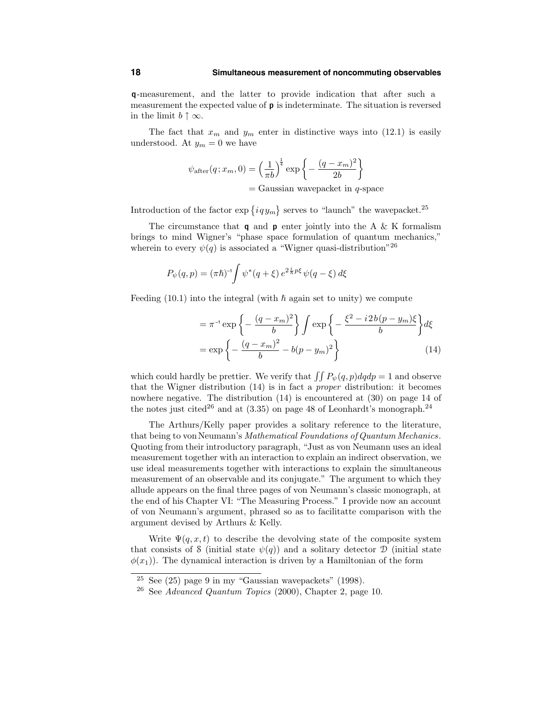q-measurement, and the latter to provide indication that after such a measurement the expected value of p is indeterminate. The situation is reversed in the limit  $b \uparrow \infty$ .

The fact that  $x_m$  and  $y_m$  enter in distinctive ways into (12.1) is easily understood. At  $y_m = 0$  we have

$$
\psi_{\text{after}}(q; x_m, 0) = \left(\frac{1}{\pi b}\right)^{\frac{1}{4}} \exp\left\{-\frac{(q - x_m)^2}{2b}\right\}
$$
  
= Gaussian wavepacket in *q*-space

Introduction of the factor  $\exp\{i q y_m\}$  serves to "launch" the wavepacket.<sup>25</sup>

The circumstance that  $q$  and  $p$  enter jointly into the A & K formalism brings to mind Wigner's "phase space formulation of quantum mechanics," wherein to every  $\psi(q)$  is associated a "Wigner quasi-distribution"<sup>26</sup>

$$
P_{\psi}(q, p) = (\pi \hbar)^{-1} \int \psi^*(q + \xi) e^{2 \frac{i}{\hbar} p \xi} \psi(q - \xi) d\xi
$$

Feeding (10.1) into the integral (with  $\hbar$  again set to unity) we compute

$$
= \pi^{-1} \exp \left\{ -\frac{(q - x_m)^2}{b} \right\} \int \exp \left\{ -\frac{\xi^2 - i2b(p - y_m)\xi}{b} \right\} d\xi
$$
  
= 
$$
\exp \left\{ -\frac{(q - x_m)^2}{b} - b(p - y_m)^2 \right\}
$$
(14)

which could hardly be prettier. We verify that  $\int \int P_{\psi}(q, p) dq dp = 1$  and observe that the Wigner distribution (14) is in fact a proper distribution: it becomes nowhere negative. The distribution (14) is encountered at (30) on page 14 of the notes just cited<sup>26</sup> and at  $(3.35)$  on page 48 of Leonhardt's monograph.<sup>24</sup>

The Arthurs/Kelly paper provides a solitary reference to the literature, that being to von Neumann's *Mathematical Foundations of Quantum Mechanics*. Quoting from their introductory paragraph, "Just as von Neumann uses an ideal measurement together with an interaction to explain an indirect observation, we use ideal measurements together with interactions to explain the simultaneous measurement of an observable and its conjugate." The argument to which they allude appears on the final three pages of von Neumann's classic monograph, at the end of his Chapter VI: "The Measuring Process." I provide now an account of von Neumann's argument, phrased so as to facilitatte comparison with the argument devised by Arthurs & Kelly.

Write  $\Psi(q, x, t)$  to describe the devolving state of the composite system that consists of S (initial state  $\psi(q)$ ) and a solitary detector D (initial state  $\phi(x_1)$ . The dynamical interaction is driven by a Hamiltonian of the form

<sup>&</sup>lt;sup>25</sup> See (25) page 9 in my "Gaussian wavepackets" (1998).

<sup>&</sup>lt;sup>26</sup> See Advanced Quantum Topics (2000), Chapter 2, page 10.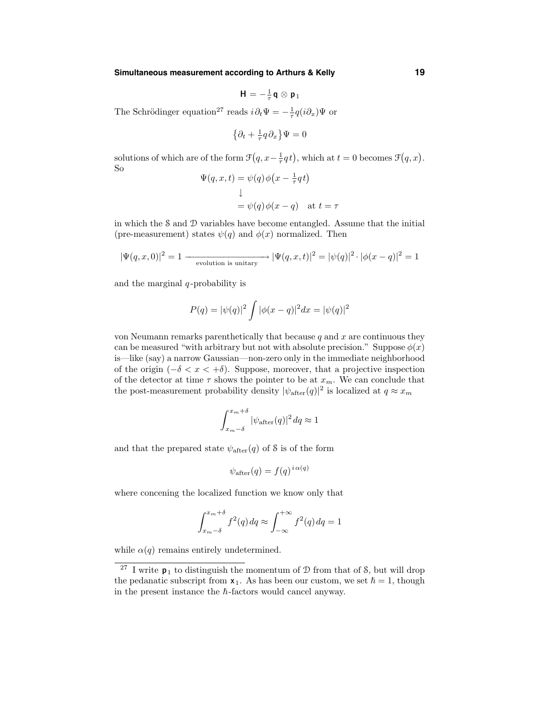**Simultaneous measurement according to Arthurs & Kelly 19**

$$
\mathbf{H}=-\tfrac{1}{\tau}\mathbf{q}\otimes\mathbf{p}_1
$$

The Schrödinger equation<sup>27</sup> reads  $i\partial_t \Psi = -\frac{1}{\tau} q(i\partial_x) \Psi$  or

$$
\left\{\partial_t + \tfrac{1}{\tau} q \partial_x\right\} \Psi = 0
$$

solutions of which are of the form  $\mathcal{F}(q, x - \frac{1}{\tau}q t)$ , which at  $t = 0$  becomes  $\mathcal{F}(q, x)$ . So

$$
\Psi(q, x, t) = \psi(q)\phi(x - \frac{1}{\tau}qt)
$$

$$
\downarrow
$$

$$
= \psi(q)\phi(x - q) \text{ at } t = \tau
$$

in which the S and D variables have become entangled. Assume that the initial (pre-measurement) states  $\psi(q)$  and  $\phi(x)$  normalized. Then

$$
|\Psi(q, x, 0)|^2 = 1 \longrightarrow \text{evolution is unitary} |\Psi(q, x, t)|^2 = |\psi(q)|^2 \cdot |\phi(x - q)|^2 = 1
$$

and the marginal  $q$ -probability is

$$
P(q) = |\psi(q)|^2 \int |\phi(x - q)|^2 dx = |\psi(q)|^2
$$

von Neumann remarks parenthetically that because  $q$  and  $x$  are continuous they can be measured "with arbitrary but not with absolute precision." Suppose  $\phi(x)$ is—like (say) a narrow Gaussian—non-zero only in the immediate neighborhood of the origin  $(-\delta < x < +\delta)$ . Suppose, moreover, that a projective inspection of the detector at time  $\tau$  shows the pointer to be at  $x_m$ . We can conclude that the post-measurement probability density  $|\psi_{\text{after}}(q)|^2$  is localized at  $q \approx x_m$ 

$$
\int_{x_m-\delta}^{x_m+\delta} |\psi_{\rm after}(q)|^2\,dq \approx 1
$$

and that the prepared state  $\psi_{\text{after}}(q)$  of S is of the form

$$
\psi_{\text{after}}(q) = f(q)^{i\alpha(q)}
$$

where concening the localized function we know only that

$$
\int_{x_m-\delta}^{x_m+\delta} f^2(q) dq \approx \int_{-\infty}^{+\infty} f^2(q) dq = 1
$$

while  $\alpha(q)$  remains entirely undetermined.

<sup>&</sup>lt;sup>27</sup> I write  $p_1$  to distinguish the momentum of  $D$  from that of  $S$ , but will drop the pedanatic subscript from  $x_1$ . As has been our custom, we set  $\hbar = 1$ , though in the present instance the  $\hbar$ -factors would cancel anyway.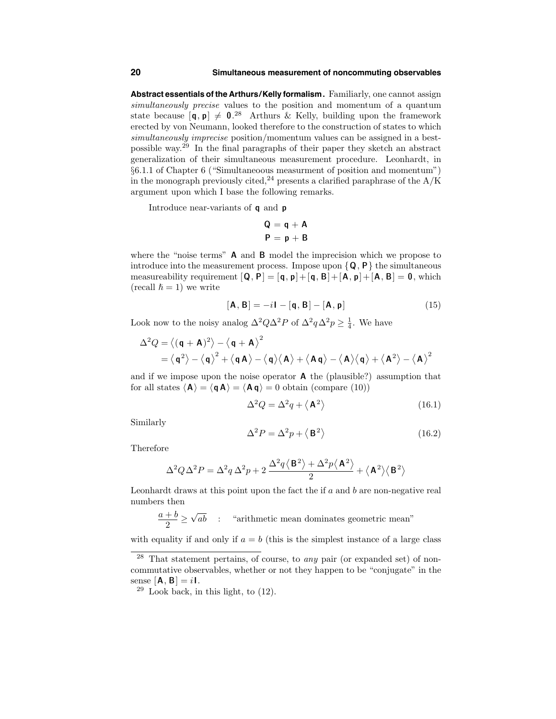#### **20 Simultaneous measurement of noncommuting observables**

**Abstract essentials of the Arthurs/Kelly formalism.** Familiarly, one cannot assign simultaneously precise values to the position and momentum of a quantum state because  $[\mathbf{q}, \mathbf{p}] \neq 0$ .<sup>28</sup> Arthurs & Kelly, building upon the framework erected by von Neumann, looked therefore to the construction of states to which simultaneously imprecise position/momentum values can be assigned in a bestpossible way. <sup>29</sup> In the final paragraphs of their paper they sketch an abstract generalization of their simultaneous measurement procedure. Leonhardt, in §6.1.1 of Chapter 6 ("Simultaneoous measurment of position and momentum") in the monograph previously cited,<sup>24</sup> presents a clarified paraphrase of the  $A/K$ argument upon which I base the following remarks.

Introduce near-variants of q and p

$$
Q = q + A
$$

$$
P = p + B
$$

where the "noise terms" **A** and **B** model the imprecision which we propose to introduce into the measurement process. Impose upon  $\{Q, P\}$  the simultaneous measureability requirement  $[Q, P] = [q, p] + [q, B] + [A, p] + [A, B] = 0$ , which (recall  $\hbar = 1$ ) we write

$$
[\mathbf{A}, \mathbf{B}] = -i\mathbf{I} - [\mathbf{q}, \mathbf{B}] - [\mathbf{A}, \mathbf{p}] \tag{15}
$$

Look now to the noisy analog  $\Delta^2 Q \Delta^2 P$  of  $\Delta^2 q \Delta^2 p \geq \frac{1}{4}$ . We have

$$
\Delta^2 Q = \langle (\mathbf{q} + \mathbf{A})^2 \rangle - \langle \mathbf{q} + \mathbf{A} \rangle^2
$$
  
=  $\langle \mathbf{q}^2 \rangle - \langle \mathbf{q} \rangle^2 + \langle \mathbf{q} \mathbf{A} \rangle - \langle \mathbf{q} \rangle \langle \mathbf{A} \rangle + \langle \mathbf{A} \mathbf{q} \rangle - \langle \mathbf{A} \rangle \langle \mathbf{q} \rangle + \langle \mathbf{A}^2 \rangle - \langle \mathbf{A} \rangle^2$ 

and if we impose upon the noise operator  $A$  the (plausible?) assumption that for all states  $\langle \mathbf{A} \rangle = \langle \mathbf{q} \mathbf{A} \rangle = \langle \mathbf{A} \mathbf{q} \rangle = 0$  obtain (compare (10))

$$
\Delta^2 Q = \Delta^2 q + \langle \mathbf{A}^2 \rangle \tag{16.1}
$$

Similarly

$$
\Delta^2 P = \Delta^2 p + \langle \mathbf{B}^2 \rangle \tag{16.2}
$$

Therefore

$$
\Delta^2 Q \Delta^2 P = \Delta^2 q \, \Delta^2 p + 2 \, \frac{\Delta^2 q \left<\mathbf{B}^2\right> + \Delta^2 p \left<\mathbf{A}^2\right>}{2} + \left<\mathbf{A}^2\right>\!\left<\mathbf{B}^2\right>
$$

Leonhardt draws at this point upon the fact the if  $a$  and  $b$  are non-negative real numbers then

$$
\frac{a+b}{2} \geq \sqrt{ab} \quad : \quad \text{``arithmetic mean dominates geometric mean''}
$$

with equality if and only if  $a = b$  (this is the simplest instance of a large class

<sup>&</sup>lt;sup>28</sup> That statement pertains, of course, to *any* pair (or expanded set) of noncommutative observables, whether or not they happen to be "conjugate" in the sense  $[A, B] = iI$ .

 $29$  Look back, in this light, to  $(12)$ .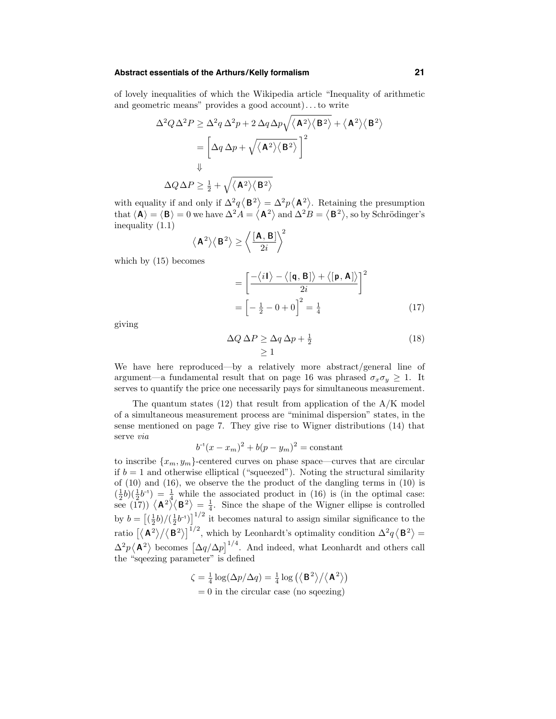#### **Abstract essentials of the Arthurs/Kelly formalism 21**

of lovely inequalities of which the Wikipedia article "Inequality of arithmetic and geometric means" provides a good account). . .to write

$$
\Delta^2 Q \Delta^2 P \ge \Delta^2 q \Delta^2 p + 2 \Delta q \Delta p \sqrt{\langle \mathbf{A}^2 \rangle \langle \mathbf{B}^2 \rangle} + \langle \mathbf{A}^2 \rangle \langle \mathbf{B}^2 \rangle
$$
  
= 
$$
\left[ \Delta q \Delta p + \sqrt{\langle \mathbf{A}^2 \rangle \langle \mathbf{B}^2 \rangle} \right]^2
$$
  
\$\downarrow\$  

$$
\Delta Q \Delta P \ge \frac{1}{2} + \sqrt{\langle \mathbf{A}^2 \rangle \langle \mathbf{B}^2 \rangle}
$$

with equality if and only if  $\Delta^2 q \langle \mathbf{B}^2 \rangle = \Delta^2 p \langle \mathbf{A}^2 \rangle$ . Retaining the presumption that  $\langle A \rangle = \langle B \rangle = 0$  we have  $\Delta^2 A = \langle A^2 \rangle$  and  $\Delta^2 B = \langle B^2 \rangle$ , so by Schrödinger's inequality (1.1)  $\overline{2}$ 

$$
\langle \mathbf{A}^2 \rangle \langle \mathbf{B}^2 \rangle \ge \left\langle \frac{[\mathbf{A}, \mathbf{B}]}{2i} \right\rangle^2
$$

which by (15) becomes

$$
= \left[\frac{-\langle i\mathbf{I}\rangle - \langle [\mathbf{q}, \mathbf{B}] \rangle + \langle [\mathbf{p}, \mathbf{A}] \rangle}{2i}\right]^2
$$

$$
= \left[-\frac{1}{2} - 0 + 0\right]^2 = \frac{1}{4}
$$
(17)

giving

$$
\Delta Q \,\Delta P \ge \Delta q \,\Delta p + \frac{1}{2} \tag{18}
$$
\n
$$
\ge 1
$$

We have here reproduced—by a relatively more abstract/general line of argument—a fundamental result that on page 16 was phrased  $\sigma_x \sigma_y \geq 1$ . It serves to quantify the price one necessarily pays for simultaneous measurement.

The quantum states  $(12)$  that result from application of the  $A/K$  model of a simultaneous measurement process are "minimal dispersion" states, in the sense mentioned on page 7. They give rise to Wigner distributions (14) that serve via

$$
b^{-1}(x - x_m)^2 + b(p - y_m)^2 = \text{constant}
$$

to inscribe  $\{x_m, y_m\}$ -centered curves on phase space—curves that are circular if  $b = 1$  and otherwise elliptical ("squeezed"). Noting the structural similarity of (10) and (16), we observe the the product of the dangling terms in (10) is  $(\frac{1}{2}b)(\frac{1}{2}b^{-1}) = \frac{1}{2}$  while the associated product in (16) is (in the optimal case: see (17))  $\langle A^2 \rangle \langle B^2 \rangle = \frac{1}{4}$ . Since the shape of the Wigner ellipse is controlled by  $b = \left[\left(\frac{1}{2}b\right)/\left(\frac{1}{2}b^{-1}\right)\right]^{1/2}$  it becomes natural to assign similar significance to the ratio  $\left[\langle \mathbf{A}^2 \rangle / \langle \mathbf{B}^2 \rangle \right]^{1/2}$ , which by Leonhardt's optimality condition  $\Delta^2 q \langle \mathbf{B}^2 \rangle =$  $\Delta^2 p \langle \mathbf{A}^2 \rangle$  becomes  $\left[ \Delta q / \Delta p \right]^{1/4}$ . And indeed, what Leonhardt and others call the "sqeezing parameter" is defined

 $\zeta = \frac{1}{4} \log(\Delta p / \Delta q) = \frac{1}{4} \log \left( \langle \mathbf{B}^2 \rangle / \langle \mathbf{A}^2 \rangle \right)$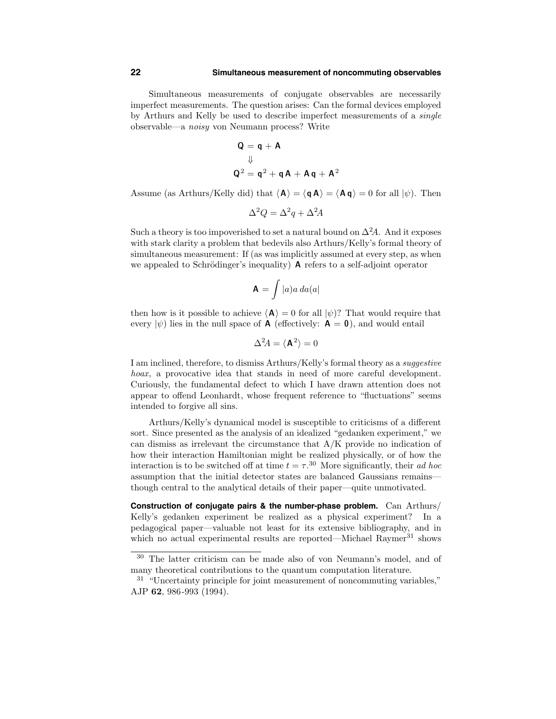Simultaneous measurements of conjugate observables are necessarily imperfect measurements. The question arises: Can the formal devices employed by Arthurs and Kelly be used to describe imperfect measurements of a single observable—a noisy von Neumann process? Write

$$
Q = q + A
$$
  

$$
\downarrow
$$
  

$$
Q2 = q2 + qA + Aq + A2
$$

Assume (as Arthurs/Kelly did) that  $\langle A \rangle = \langle q A \rangle = \langle A q \rangle = 0$  for all  $|\psi\rangle$ . Then

$$
\Delta^2 Q = \Delta^2 q + \Delta^2 A
$$

Such a theory is too impoverished to set a natural bound on  $\Delta^2 A$ . And it exposes with stark clarity a problem that bedevils also Arthurs/Kelly's formal theory of simultaneous measurement: If (as was implicitly assumed at every step, as when we appealed to Schrödinger's inequality)  $\bf{A}$  refers to a self-adjoint operator

$$
\mathbf{A} = \int |a) a \, da(a|
$$

then how is it possible to achieve  $\langle A \rangle = 0$  for all  $|\psi\rangle$ ? That would require that every  $|\psi\rangle$  lies in the null space of **A** (effectively: **A** = **0**), and would entail

$$
\Delta^2 A = \langle \mathbf{A}^2 \rangle = 0
$$

I am inclined, therefore, to dismiss Arthurs/Kelly's formal theory as a suggestive hoax, a provocative idea that stands in need of more careful development. Curiously, the fundamental defect to which I have drawn attention does not appear to offend Leonhardt, whose frequent reference to "fluctuations" seems intended to forgive all sins.

Arthurs/Kelly's dynamical model is susceptible to criticisms of a different sort. Since presented as the analysis of an idealized "gedanken experiment," we can dismiss as irrelevant the circumstance that A/K provide no indication of how their interaction Hamiltonian might be realized physically, or of how the interaction is to be switched off at time  $t = \tau$ <sup>30</sup>. More significantly, their ad hoc assumption that the initial detector states are balanced Gaussians remains though central to the analytical details of their paper—quite unmotivated.

**Construction of conjugate pairs & the number-phase problem.** Can Arthurs/ Kelly's gedanken experiment be realized as a physical experiment? In a pedagogical paper—valuable not least for its extensive bibliography, and in which no actual experimental results are reported—Michael  $\text{Rawmer}^{31}$  shows

<sup>30</sup> The latter criticism can be made also of von Neumann's model, and of many theoretical contributions to the quantum computation literature.

 $31$  "Uncertainty principle for joint measurement of noncommuting variables," AJP 62, 986-993 (1994).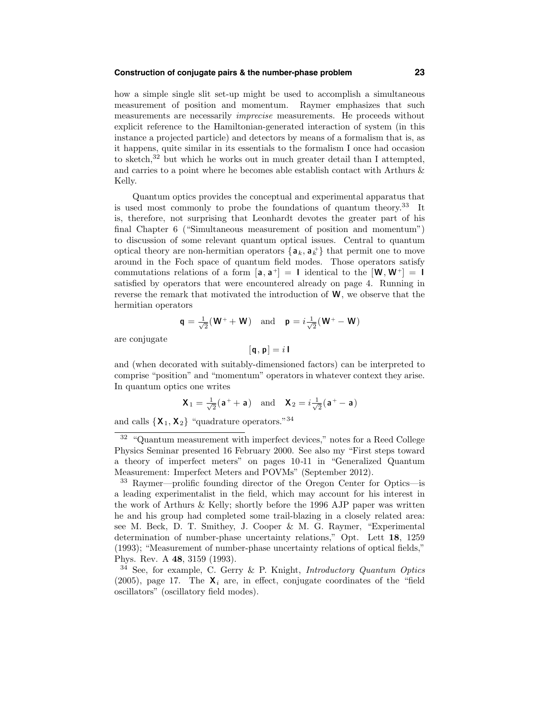#### **Construction of conjugate pairs & the number-phase problem 23**

how a simple single slit set-up might be used to accomplish a simultaneous measurement of position and momentum. Raymer emphasizes that such measurements are necessarily imprecise measurements. He proceeds without explicit reference to the Hamiltonian-generated interaction of system (in this instance a projected particle) and detectors by means of a formalism that is, as it happens, quite similar in its essentials to the formalism I once had occasion to sketch,  $32$  but which he works out in much greater detail than I attempted, and carries to a point where he becomes able establish contact with Arthurs & Kelly.

Quantum optics provides the conceptual and experimental apparatus that is used most commonly to probe the foundations of quantum theory. <sup>33</sup> It is, therefore, not surprising that Leonhardt devotes the greater part of his final Chapter 6 ("Simultaneous measurement of position and momentum") to discussion of some relevant quantum optical issues. Central to quantum optical theory are non-hermitian operators  $\{a_k, a_k^{\dagger}\}\$  that permit one to move around in the Foch space of quantum field modes. Those operators satisfy commutations relations of a form  $[a, a^+] = 1$  identical to the  $[W, W^+] = 1$ satisfied by operators that were encountered already on page 4. Running in reverse the remark that motivated the introduction of  $W$ , we observe that the hermitian operators

$$
\mathbf{q} = \frac{1}{\sqrt{2}}(\mathbf{W}^+ + \mathbf{W})
$$
 and  $\mathbf{p} = i\frac{1}{\sqrt{2}}(\mathbf{W}^+ - \mathbf{W})$ 

are conjugate

$$
[\mathbf{q},\mathbf{p}]=i\,\mathbf{I}
$$

and (when decorated with suitably-dimensioned factors) can be interpreted to comprise "position" and "momentum" operators in whatever context they arise. In quantum optics one writes

$$
X_1 = \frac{1}{\sqrt{2}}(a^+ + a)
$$
 and  $X_2 = i\frac{1}{\sqrt{2}}(a^+ - a)$ 

and calls  $\{X_1, X_2\}$  "quadrature operators."<sup>34</sup>

<sup>32</sup> "Quantum measurement with imperfect devices," notes for a Reed College Physics Seminar presented 16 February 2000. See also my "First steps toward a theory of imperfect meters" on pages 10-11 in "Generalized Quantum Measurement: Imperfect Meters and POVMs" (September 2012).

<sup>33</sup> Raymer—prolific founding director of the Oregon Center for Optics—is a leading experimentalist in the field, which may account for his interest in the work of Arthurs & Kelly; shortly before the 1996 AJP paper was written he and his group had completed some trail-blazing in a closely related area: see M. Beck, D. T. Smithey, J. Cooper & M. G. Raymer, "Experimental determination of number-phase uncertainty relations," Opt. Lett 18, 1259 (1993); "Measurement of number-phase uncertainty relations of optical fields," Phys. Rev. A 48, 3159 (1993).

 $34$  See, for example, C. Gerry & P. Knight, Introductory Quantum Optics (2005), page 17. The  $X_i$  are, in effect, conjugate coordinates of the "field oscillators" (oscillatory field modes).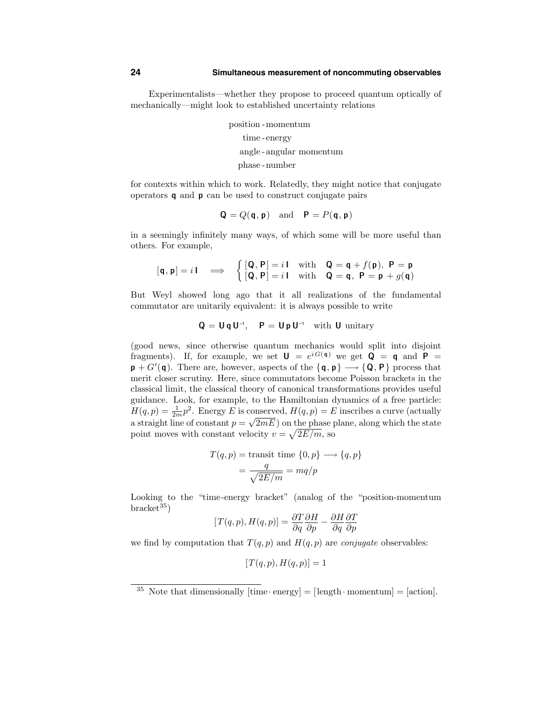Experimentalists—whether they propose to proceed quantum optically of mechanically—might look to established uncertainty relations

> position -momentum time -energy angle -angular momentum phase -number

for contexts within which to work. Relatedly, they might notice that conjugate operators q and p can be used to construct conjugate pairs

$$
Q = Q(q, p)
$$
 and  $P = P(q, p)$ 

in a seemingly infinitely many ways, of which some will be more useful than others. For example,

$$
[\mathbf{q}, \mathbf{p}] = i \mathbf{1} \implies \begin{cases} [\mathbf{Q}, \mathbf{P}] = i \mathbf{1} & \text{with} \quad \mathbf{Q} = \mathbf{q} + f(\mathbf{p}), \ \mathbf{P} = \mathbf{p} \\ [\mathbf{Q}, \mathbf{P}] = i \mathbf{1} & \text{with} \quad \mathbf{Q} = \mathbf{q}, \ \mathbf{P} = \mathbf{p} + g(\mathbf{q}) \end{cases}
$$

But Weyl showed long ago that it all realizations of the fundamental commutator are unitarily equivalent: it is always possible to write

$$
Q = U q U^{-1}, \quad P = U p U^{-1} \quad \text{with } U \text{ unitary}
$$

(good news, since otherwise quantum mechanics would split into disjoint fragments). If, for example, we set  $U = e^{iG(q)}$  we get  $Q = q$  and  $P =$  $\mathbf{p} + G'(\mathbf{q})$ . There are, however, aspects of the  $\{\mathbf{q}, \mathbf{p}\} \longrightarrow \{\mathbf{Q}, \mathbf{P}\}$  process that merit closer scrutiny. Here, since commutators become Poisson brackets in the classical limit, the classical theory of canonical transformations provides useful guidance. Look, for example, to the Hamiltonian dynamics of a free particle:  $H(q, p) = \frac{1}{2m}p^2$ . Energy E is conserved,  $H(q, p) = E$  inscribes a curve (actually a straight line of constant  $p = \sqrt{2mE}$  on the phase plane, along which the state point moves with constant velocity  $v = \sqrt{2E/m}$ , so

$$
T(q, p) = \text{transit time } \{0, p\} \longrightarrow \{q, p\}
$$

$$
= \frac{q}{\sqrt{2E/m}} = mq/p
$$

Looking to the "time-energy bracket" (analog of the "position-momentum  $bracket^{35}$ 

$$
[T(q,p),H(q,p)] = \frac{\partial T}{\partial q} \frac{\partial H}{\partial p} - \frac{\partial H}{\partial q} \frac{\partial T}{\partial p}
$$

we find by computation that  $T(q, p)$  and  $H(q, p)$  are *conjugate* observables:

$$
[T(q,p), H(q,p)] = 1
$$

<sup>&</sup>lt;sup>35</sup> Note that dimensionally  $[\text{time} \cdot \text{energy}] = [\text{length} \cdot \text{momentum}] = [\text{action}].$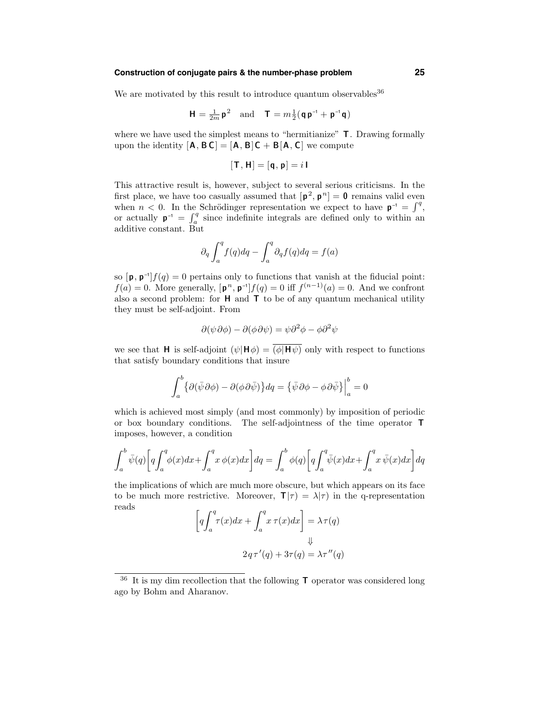# **Construction of conjugate pairs & the number-phase problem 25**

We are motivated by this result to introduce quantum observables  $36$ 

$$
H = \frac{1}{2m} p^2 \text{ and } T = m \frac{1}{2} (q p^{-1} + p^{-1} q)
$$

where we have used the simplest means to "hermitianize"  $T$ . Drawing formally upon the identity  $[A, B]C = [A, B]C + B[A, C]$  we compute

$$
[\mathsf{T},\mathsf{H}]=[\mathsf{q},\mathsf{p}]=i\,\mathsf{I}
$$

This attractive result is, however, subject to several serious criticisms. In the first place, we have too casually assumed that  $[\mathbf{p}^2, \mathbf{p}^n] = \mathbf{0}$  remains valid even when  $n < 0$ . In the Schrödinger representation we expect to have  $p^{-1} = \int^q$ , or actually  $p^{-1} = \int_a^q$  since indefinite integrals are defined only to within an additive constant. But

$$
\partial_q \int_a^q f(q) dq - \int_a^q \partial_q f(q) dq = f(a)
$$

so  $[\mathbf{p}, \mathbf{p}^{-1}]f(q) = 0$  pertains only to functions that vanish at the fiducial point:  $f(a) = 0$ . More generally,  $[\mathbf{p}^n, \mathbf{p}^{-1}]f(q) = 0$  iff  $f^{(n-1)}(a) = 0$ . And we confront also a second problem: for  $H$  and  $T$  to be of any quantum mechanical utility they must be self-adjoint. From

$$
\partial(\psi \partial \phi) - \partial(\phi \partial \psi) = \psi \partial^2 \phi - \phi \partial^2 \psi
$$

we see that **H** is self-adjoint  $(\psi | H \phi) = \overline{(\phi | H \psi)}$  only with respect to functions that satisfy boundary conditions that insure

$$
\int_a^b \{ \partial(\bar{\psi} \partial \phi) - \partial(\phi \partial \bar{\psi}) \} dq = \{ \bar{\psi} \partial \phi - \phi \partial \bar{\psi} \} \Big|_a^b = 0
$$

which is achieved most simply (and most commonly) by imposition of periodic or box boundary conditions. The self-adjointness of the time operator T imposes, however, a condition

$$
\int_a^b \bar{\psi}(q) \left[ q \int_a^q \phi(x) dx + \int_a^q x \phi(x) dx \right] dq = \int_a^b \phi(q) \left[ q \int_a^q \bar{\psi}(x) dx + \int_a^q x \bar{\psi}(x) dx \right] dq
$$

the implications of which are much more obscure, but which appears on its face to be much more restrictive. Moreover,  $\mathbf{T}|\tau = \lambda|\tau$  in the q-representation reads  $\sqrt{ }$ 

$$
\[q \int_{a}^{q} \tau(x) dx + \int_{a}^{q} x \tau(x) dx\] = \lambda \tau(q)
$$
  

$$
\downarrow \qquad \qquad 2q \tau'(q) + 3\tau(q) = \lambda \tau''(q)
$$

<sup>&</sup>lt;sup>36</sup> It is my dim recollection that the following  $\mathsf T$  operator was considered long ago by Bohm and Aharanov.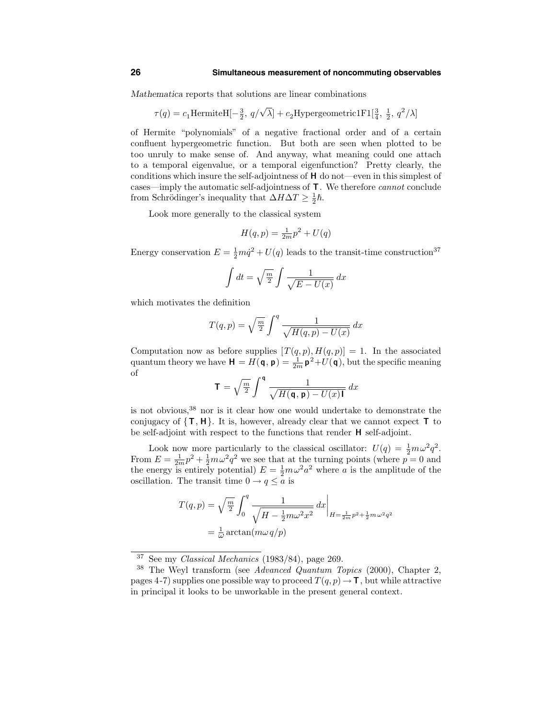#### **26 Simultaneous measurement of noncommuting observables**

Mathematica reports that solutions are linear combinations

$$
\tau(q)=c_1 \text{HermiteH}[-\frac{3}{2},\, q/\sqrt{\lambda}]+c_2 \text{Hypergeometric1F1}[\frac{3}{4},\, \frac{1}{2},\, q^2/\lambda]
$$

of Hermite "polynomials" of a negative fractional order and of a certain confluent hypergeometric function. But both are seen when plotted to be too unruly to make sense of. And anyway, what meaning could one attach to a temporal eigenvalue, or a temporal eigenfunction? Pretty clearly, the conditions which insure the self-adjointness of H do not—even in this simplest of cases—imply the automatic self-adjointness of T. We therefore cannot conclude from Schrödinger's inequality that  $\Delta H \Delta T \geq \frac{1}{2}\hbar$ .

Look more generally to the classical system

$$
H(q, p) = \frac{1}{2m}p^2 + U(q)
$$

Energy conservation  $E = \frac{1}{2}m\dot{q}^2 + U(q)$  leads to the transit-time construction<sup>37</sup>

$$
\int dt = \sqrt{\frac{m}{2}} \int \frac{1}{\sqrt{E - U(x)}} dx
$$

which motivates the definition

$$
T(q, p) = \sqrt{\frac{m}{2}} \int^{q} \frac{1}{\sqrt{H(q, p) - U(x)}} dx
$$

Computation now as before supplies  $[T(q, p), H(q, p)] = 1$ . In the associated quantum theory we have  $\mathbf{H} = H(\mathbf{q}, \mathbf{p}) = \frac{1}{2m} \mathbf{p}^2 + U(\mathbf{q})$ , but the specific meaning of

$$
\mathbf{T} = \sqrt{\frac{m}{2}} \int^{\mathbf{q}} \frac{1}{\sqrt{H(\mathbf{q}, \mathbf{p}) - U(x)\mathbf{I}}} dx
$$

is not obvious,<sup>38</sup> nor is it clear how one would undertake to demonstrate the conjugacy of  $\{T, H\}$ . It is, however, already clear that we cannot expect  $T$  to be self-adjoint with respect to the functions that render H self-adjoint.

Look now more particularly to the classical oscillator:  $U(q) = \frac{1}{2}m\omega^2 q^2$ . From  $E = \frac{1}{2m}p^2 + \frac{1}{2}m\omega^2 q^2$  we see that at the turning points (where  $p = 0$  and the energy is entirely potential)  $E = \frac{1}{2}m\omega^2 a^2$  where a is the amplitude of the oscillation. The transit time  $0 \rightarrow q \leq a$  is

$$
T(q, p) = \sqrt{\frac{m}{2}} \int_0^q \frac{1}{\sqrt{H - \frac{1}{2}m\omega^2 x^2}} dx \Big|_{H = \frac{1}{2m}p^2 + \frac{1}{2}m\omega^2 q^2}
$$
  
=  $\frac{1}{\omega} \arctan(m\omega q/p)$ 

<sup>37</sup> See my Classical Mechanics (1983/84), page 269.

 $38$  The Weyl transform (see Advanced Quantum Topics (2000), Chapter 2, pages 4-7) supplies one possible way to proceed  $T(q, p) \rightarrow \mathbf{T}$ , but while attractive in principal it looks to be unworkable in the present general context.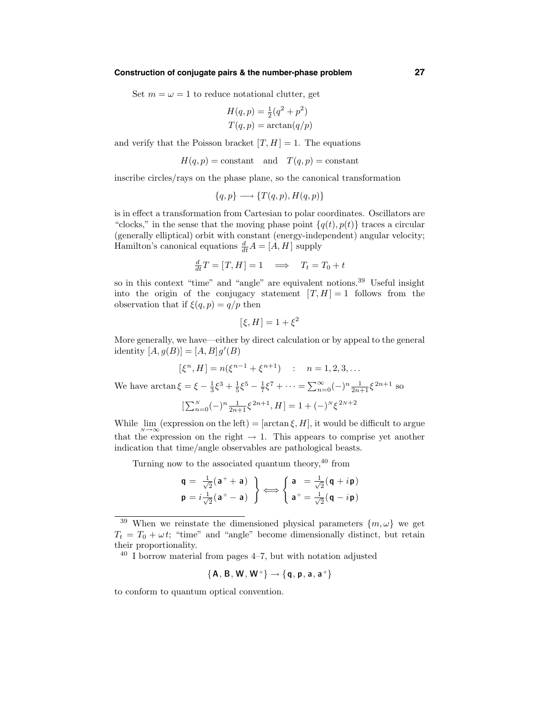#### **Construction of conjugate pairs & the number-phase problem 27**

Set  $m = \omega = 1$  to reduce notational clutter, get

$$
H(q, p) = \frac{1}{2}(q^2 + p^2)
$$

$$
T(q, p) = \arctan(q/p)
$$

and verify that the Poisson bracket  $[T, H] = 1$ . The equations

$$
H(q, p) = \text{constant}
$$
 and  $T(q, p) = \text{constant}$ 

inscribe circles/rays on the phase plane, so the canonical transformation

$$
{q, p} \longrightarrow {T(q, p), H(q, p)}
$$

is in effect a transformation from Cartesian to polar coordinates. Oscillators are "clocks," in the sense that the moving phase point  $\{q(t), p(t)\}$  traces a circular (generally elliptical) orbit with constant (energy-independent) angular velocity; Hamilton's canonical equations  $\frac{d}{dt}A = [A, H]$  supply

$$
\frac{d}{dt}T = [T, H] = 1 \implies T_t = T_0 + t
$$

so in this context "time" and "angle" are equivalent notions.<sup>39</sup> Useful insight into the origin of the conjugacy statement  $[T, H] = 1$  follows from the observation that if  $\xi(q, p) = q/p$  then

$$
[\xi, H] = 1 + \xi^2
$$

More generally, we have—either by direct calculation or by appeal to the general identity  $[A, g(B)] = [A, B]g'(B)$ 

$$
[\xi^{n}, H] = n(\xi^{n-1} + \xi^{n+1}) \quad : \quad n = 1, 2, 3, \dots
$$

We have  $\arctan \xi = \xi - \frac{1}{3}\xi^3 + \frac{1}{5}\xi^5 - \frac{1}{7}\xi^7 + \cdots = \sum_{n=0}^{\infty} (-)^n \frac{1}{2n+1}\xi^{2n+1}$  so

$$
[\textstyle\sum_{n=0}^N (-)^n \frac{1}{2n+1} \xi^{2n+1}, H]=1+(-)^N \xi^{2N+2}
$$

While  $\lim_{N\to\infty}$  (expression on the left) = [arctan  $\xi$ , H], it would be difficult to argue that the expression on the right  $\rightarrow$  1. This appears to comprise yet another indication that time/angle observables are pathological beasts.

Turning now to the associated quantum theory,<sup>40</sup> from

$$
\mathbf{q} = \frac{1}{\sqrt{2}}(\mathbf{a}^+ + \mathbf{a})
$$
\n
$$
\mathbf{p} = i\frac{1}{\sqrt{2}}(\mathbf{a}^+ - \mathbf{a})
$$
\n
$$
\longleftrightarrow \begin{cases}\n\mathbf{a} = \frac{1}{\sqrt{2}}(\mathbf{q} + i\mathbf{p}) \\
\mathbf{a}^+ = \frac{1}{\sqrt{2}}(\mathbf{q} - i\mathbf{p})\n\end{cases}
$$

 $40$  I borrow material from pages  $4-7$ , but with notation adjusted

$$
\{A, B, W, W^+\} \rightarrow \{q, p, a, a^+\}
$$

to conform to quantum optical convention.

<sup>&</sup>lt;sup>39</sup> When we reinstate the dimensioned physical parameters  $\{m, \omega\}$  we get  $T_t = T_0 + \omega t$ ; "time" and "angle" become dimensionally distinct, but retain their proportionality.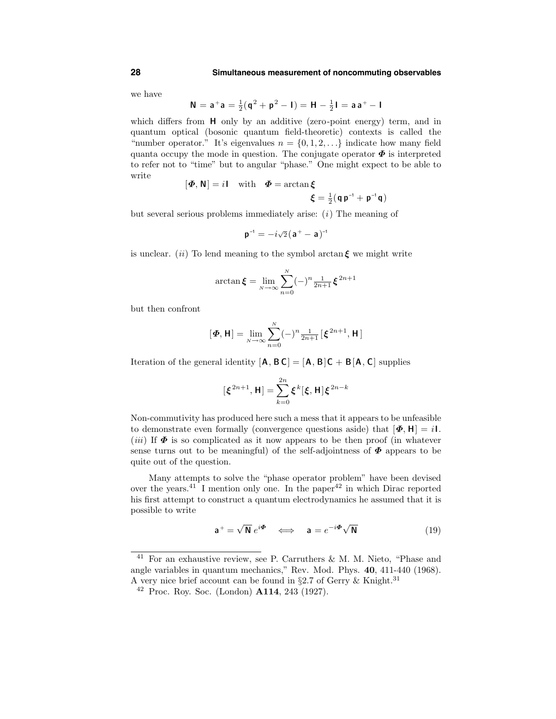we have

$$
N = a^+a = \frac{1}{2}(q^2 + p^2 - I) = H - \frac{1}{2}I = aa^+ - I
$$

which differs from **H** only by an additive (zero-point energy) term, and in quantum optical (bosonic quantum field-theoretic) contexts is called the "number operator." It's eigenvalues  $n = \{0, 1, 2, \ldots\}$  indicate how many field quanta occupy the mode in question. The conjugate operator  $\Phi$  is interpreted to refer not to "time" but to angular "phase." One might expect to be able to write

$$
[\mathbf{\Phi}, \mathbf{N}] = i \mathbf{I} \quad \text{with} \quad \mathbf{\Phi} = \arctan \xi
$$

$$
\xi = \frac{1}{2} (\mathbf{q} \, \mathbf{p}^{-1} + \mathbf{p}^{-1} \mathbf{q})
$$

but several serious problems immediately arise:  $(i)$  The meaning of

$$
\mathbf{p}^{-1} = -i\sqrt{2}(\mathbf{a}^+ - \mathbf{a})^{-1}
$$

is unclear. (ii) To lend meaning to the symbol arctan  $\xi$  we might write

$$
\arctan \xi = \lim_{N \to \infty} \sum_{n=0}^{N} (-)^n \frac{1}{2n+1} \xi^{2n+1}
$$

but then confront

$$
[\boldsymbol{\Phi},\mathbf{H}] = \lim_{N \to \infty} \sum_{n=0}^{N} (-)^n \frac{1}{2n+1} [\boldsymbol{\xi}^{2n+1},\mathbf{H}]
$$

Iteration of the general identity  $[A, BC] = [A, B]C + B[A, C]$  supplies

$$
[\xi^{2n+1}, \mathbf{H}] = \sum_{k=0}^{2n} \xi^k[\xi, \mathbf{H}] \xi^{2n-k}
$$

Non-commutivity has produced here such a mess that it appears to be unfeasible to demonstrate even formally (convergence questions aside) that  $[\Phi, H] = iI$ . (*iii*) If  $\Phi$  is so complicated as it now appears to be then proof (in whatever sense turns out to be meaningful) of the self-adjointness of  $\Phi$  appears to be quite out of the question.

Many attempts to solve the "phase operator problem" have been devised over the years.<sup>41</sup> I mention only one. In the paper<sup>42</sup> in which Dirac reported his first attempt to construct a quantum electrodynamics he assumed that it is possible to write

$$
\mathbf{a}^+ = \sqrt{\mathbf{N}} \ e^{i\mathbf{\Phi}} \quad \Longleftrightarrow \quad \mathbf{a} = e^{-i\mathbf{\Phi}} \sqrt{\mathbf{N}} \tag{19}
$$

<sup>41</sup> For an exhaustive review, see P. Carruthers & M. M. Nieto, "Phase and angle variables in quantum mechanics," Rev. Mod. Phys. 40, 411-440 (1968). A very nice brief account can be found in  $\S 2.7$  of Gerry & Knight.<sup>31</sup>

 $42$  Proc. Roy. Soc. (London)  $A114$ , 243 (1927).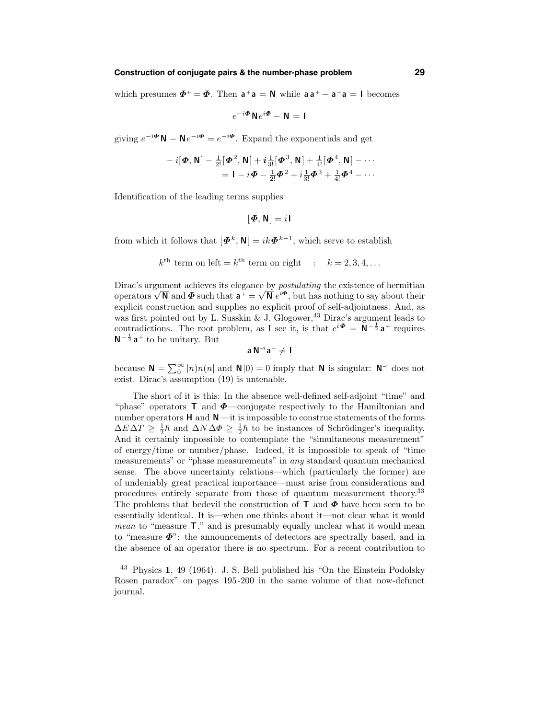# **Construction of conjugate pairs & the number-phase problem 29**

which presumes  $\Phi^+ = \Phi$ . Then  $a^+a = N$  while  $aa^+ - a^+a = I$  becomes

$$
e^{-i\mathbf{\Phi}}\mathbf{N}e^{i\mathbf{\Phi}}-\mathbf{N}=\mathbf{I}
$$

giving  $e^{-i\mathbf{\Phi}}\mathbf{N} - \mathbf{N}e^{-i\mathbf{\Phi}} = e^{-i\mathbf{\Phi}}$ . Expand the exponentials and get

$$
-i[\boldsymbol{\Phi},\mathbf{N}] - \frac{1}{2!}[\boldsymbol{\Phi}^2,\mathbf{N}] + i\frac{1}{3!}[\boldsymbol{\Phi}^3,\mathbf{N}] + \frac{1}{4!}[\boldsymbol{\Phi}^4,\mathbf{N}] - \cdots
$$
  
=  $\mathbf{I} - i\boldsymbol{\Phi} - \frac{1}{2!}\boldsymbol{\Phi}^2 + i\frac{1}{3!}\boldsymbol{\Phi}^3 + \frac{1}{4!}\boldsymbol{\Phi}^4 - \cdots$ 

Identification of the leading terms supplies

$$
[\mathbf{\Phi},\mathbf{N}]=i\mathbf{I}
$$

from which it follows that  $[\mathbf{\Phi}^k, \mathbf{N}] = ik\mathbf{\Phi}^{k-1}$ , which serve to establish

$$
k^{\text{th}}
$$
 term on left =  $k^{\text{th}}$  term on right :  $k = 2, 3, 4, ...$ 

Dirac's argument achieves its elegance by postulating the existence of hermitian operators  $\sqrt{\mathbb{N}}$  and  $\Phi$  such that  $\mathbf{a}^+ = \sqrt{\mathbb{N}} e^{i \Phi}$ , but has nothing to say about their explicit construction and supplies no explicit proof of self-adjointness. And, as was first pointed out by L. Susskin & J. Glogower,<sup>43</sup> Dirac's argument leads to contradictions. The root problem, as I see it, is that  $e^{i\mathbf{\Phi}} = \mathbf{N}^{-\frac{1}{2}} \mathbf{a}^+$  requires  $N^{-\frac{1}{2}}a^{+}$  to be unitary. But

$$
a\,N^{-1}a^+\neq I
$$

because  $\mathbf{N} = \sum_{n=0}^{\infty} |n|n(n)$  and  $\mathbf{N}|0) = 0$  imply that  $\mathbf{N}$  is singular:  $\mathbf{N}^{-1}$  does not exist. Dirac's assumption (19) is untenable.

The short of it is this: In the absence well-defined self-adjoint "time" and "phase" operators  $\mathsf{T}$  and  $\Phi$ —conjugate respectively to the Hamiltonian and number operators  $H$  and  $N$  —it is impossible to construe statements of the forms  $\Delta E \Delta T \geq \frac{1}{2}\hbar$  and  $\Delta N \Delta \Phi \geq \frac{1}{2}\hbar$  to be instances of Schrödinger's inequality. And it certainly impossible to contemplate the "simultaneous measurement" of energy/time or number/phase. Indeed, it is impossible to speak of "time measurements" or "phase measurements" in any standard quantum mechanical sense. The above uncertainty relations—which (particularly the former) are of undeniably great practical importance—must arise from considerations and procedures entirely separate from those of quantum measurement theory. 33 The problems that bedevil the construction of  $\mathsf{T}$  and  $\Phi$  have been seen to be essentially identical. It is—when one thinks about it—not clear what it would *mean* to "measure  $\mathsf{T}$ ," and is presumably equally unclear what it would mean to "measure  $\Phi$ ": the announcements of detectors are spectrally based, and in the absence of an operator there is no spectrum. For a recent contribution to

<sup>43</sup> Physics 1, 49 (1964). J. S. Bell published his "On the Einstein Podolsky Rosen paradox" on pages 195-200 in the same volume of that now-defunct journal.